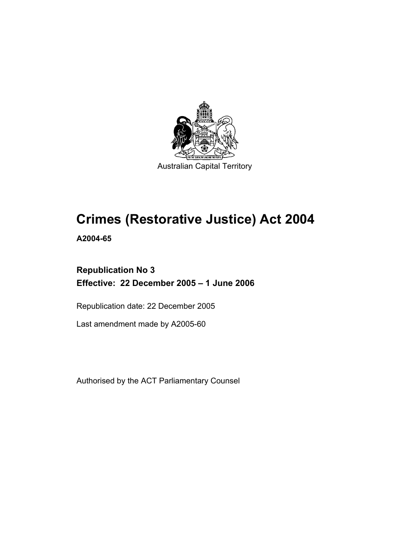

Australian Capital Territory

# **Crimes (Restorative Justice) Act 2004**

**A2004-65** 

# **Republication No 3 Effective: 22 December 2005 – 1 June 2006**

Republication date: 22 December 2005

Last amendment made by A2005-60

Authorised by the ACT Parliamentary Counsel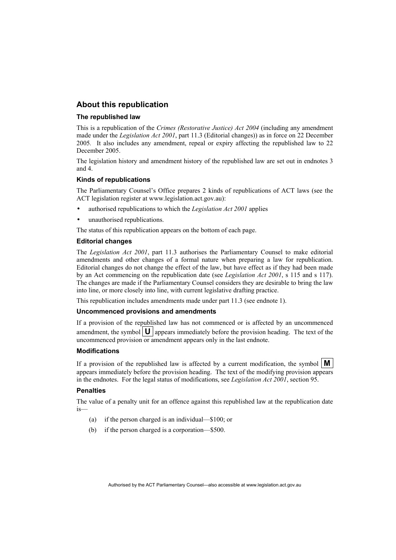## **About this republication**

#### **The republished law**

This is a republication of the *Crimes (Restorative Justice) Act 2004* (including any amendment made under the *Legislation Act 2001*, part 11.3 (Editorial changes)) as in force on 22 December 2005*.* It also includes any amendment, repeal or expiry affecting the republished law to 22 December 2005.

The legislation history and amendment history of the republished law are set out in endnotes 3 and 4.

#### **Kinds of republications**

The Parliamentary Counsel's Office prepares 2 kinds of republications of ACT laws (see the ACT legislation register at www.legislation.act.gov.au):

- authorised republications to which the *Legislation Act 2001* applies
- unauthorised republications.

The status of this republication appears on the bottom of each page.

#### **Editorial changes**

The *Legislation Act 2001*, part 11.3 authorises the Parliamentary Counsel to make editorial amendments and other changes of a formal nature when preparing a law for republication. Editorial changes do not change the effect of the law, but have effect as if they had been made by an Act commencing on the republication date (see *Legislation Act 2001*, s 115 and s 117). The changes are made if the Parliamentary Counsel considers they are desirable to bring the law into line, or more closely into line, with current legislative drafting practice.

This republication includes amendments made under part 11.3 (see endnote 1).

#### **Uncommenced provisions and amendments**

If a provision of the republished law has not commenced or is affected by an uncommenced amendment, the symbol  $\mathbf{U}$  appears immediately before the provision heading. The text of the uncommenced provision or amendment appears only in the last endnote.

#### **Modifications**

If a provision of the republished law is affected by a current modification, the symbol  $\mathbf{M}$ appears immediately before the provision heading. The text of the modifying provision appears in the endnotes. For the legal status of modifications, see *Legislation Act 2001*, section 95.

#### **Penalties**

The value of a penalty unit for an offence against this republished law at the republication date is—

- (a) if the person charged is an individual—\$100; or
- (b) if the person charged is a corporation—\$500.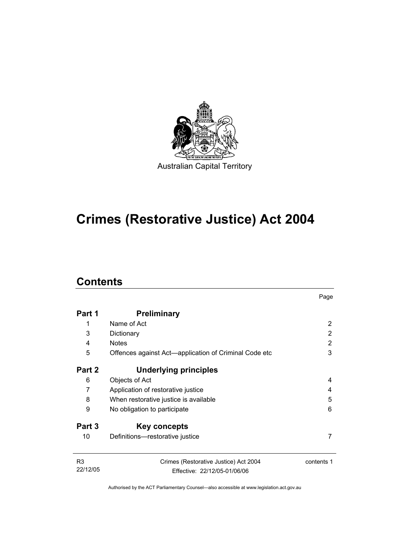

# **Crimes (Restorative Justice) Act 2004**

# **Contents**

|                            |                                                                       | Page       |  |
|----------------------------|-----------------------------------------------------------------------|------------|--|
| Part 1                     | <b>Preliminary</b>                                                    |            |  |
| 1                          | Name of Act                                                           | 2          |  |
| 3                          | Dictionary                                                            | 2          |  |
| 4                          | <b>Notes</b>                                                          | 2          |  |
| 5                          | Offences against Act—application of Criminal Code etc                 | 3          |  |
| Part 2                     | Underlying principles                                                 |            |  |
| 6                          | Objects of Act                                                        | 4          |  |
| 7                          | Application of restorative justice                                    | 4          |  |
| 8                          | When restorative justice is available<br>5                            |            |  |
| 9                          | No obligation to participate                                          |            |  |
| Part 3                     | Key concepts                                                          |            |  |
| 10                         | Definitions-restorative justice                                       | 7          |  |
| R <sub>3</sub><br>22/12/05 | Crimes (Restorative Justice) Act 2004<br>Effective: 22/12/05-01/06/06 | contents 1 |  |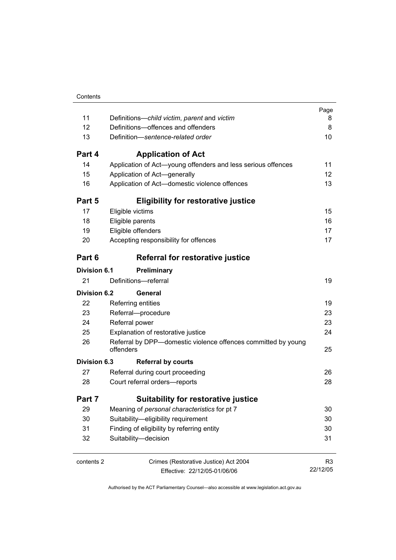| Contents |
|----------|
|          |

|                                                      |                                                                            | Page           |  |
|------------------------------------------------------|----------------------------------------------------------------------------|----------------|--|
| 11                                                   | Definitions—child victim, parent and victim                                |                |  |
| 12                                                   | Definitions-offences and offenders                                         |                |  |
| 13                                                   | Definition-sentence-related order                                          |                |  |
| Part 4                                               | <b>Application of Act</b>                                                  |                |  |
| 14                                                   | Application of Act-young offenders and less serious offences               | 11             |  |
| 15                                                   | Application of Act-generally                                               | 12             |  |
| 16                                                   | Application of Act-domestic violence offences                              | 13             |  |
| <b>Eligibility for restorative justice</b><br>Part 5 |                                                                            |                |  |
| 17                                                   | Eligible victims                                                           | 15             |  |
| 18                                                   | Eligible parents                                                           | 16             |  |
| 19                                                   | Eligible offenders                                                         | 17             |  |
| 20                                                   | Accepting responsibility for offences                                      | 17             |  |
| Part 6                                               | Referral for restorative justice                                           |                |  |
| <b>Division 6.1</b>                                  | Preliminary                                                                |                |  |
| 21                                                   | Definitions-referral                                                       | 19             |  |
| <b>Division 6.2</b>                                  | General                                                                    |                |  |
| 22                                                   | Referring entities                                                         | 19             |  |
| 23                                                   | Referral-procedure                                                         | 23             |  |
| 24                                                   | Referral power                                                             |                |  |
| 25                                                   | Explanation of restorative justice                                         |                |  |
| 26                                                   | Referral by DPP-domestic violence offences committed by young<br>offenders |                |  |
| Division 6.3                                         | <b>Referral by courts</b>                                                  |                |  |
| 27                                                   | Referral during court proceeding                                           | 26             |  |
| 28                                                   | Court referral orders-reports                                              |                |  |
| Part 7                                               | <b>Suitability for restorative justice</b>                                 |                |  |
| 29                                                   | Meaning of personal characteristics for pt 7                               | 30             |  |
| 30                                                   | Suitability-eligibility requirement                                        | 30             |  |
| 31                                                   | Finding of eligibility by referring entity                                 |                |  |
| 32                                                   | Suitability-decision                                                       | 31             |  |
| contents 2                                           | Crimes (Restorative Justice) Act 2004                                      | R <sub>3</sub> |  |
|                                                      | Effective: 22/12/05-01/06/06                                               | 22/12/05       |  |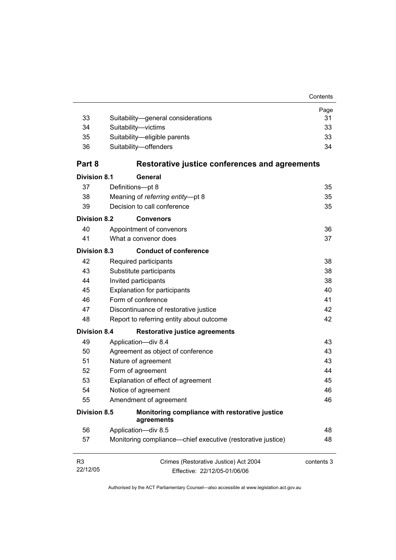| 33                                                                                  | Suitability-general considerations                                    | Page<br>31 |  |  |
|-------------------------------------------------------------------------------------|-----------------------------------------------------------------------|------------|--|--|
| 34                                                                                  | Suitability-victims                                                   | 33         |  |  |
| 35                                                                                  | Suitability-eligible parents                                          | 33         |  |  |
| 36                                                                                  | Suitability-offenders                                                 | 34         |  |  |
|                                                                                     |                                                                       |            |  |  |
| Part 8                                                                              | Restorative justice conferences and agreements                        |            |  |  |
| <b>Division 8.1</b>                                                                 | General                                                               |            |  |  |
| 37                                                                                  | Definitions-pt 8                                                      | 35         |  |  |
| 38                                                                                  | Meaning of referring entity-pt 8                                      | 35         |  |  |
| 39                                                                                  | Decision to call conference                                           | 35         |  |  |
| <b>Division 8.2</b>                                                                 | <b>Convenors</b>                                                      |            |  |  |
| 40                                                                                  | Appointment of convenors                                              | 36         |  |  |
| 41                                                                                  | What a convenor does                                                  | 37         |  |  |
| <b>Division 8.3</b>                                                                 | <b>Conduct of conference</b>                                          |            |  |  |
| 42                                                                                  | Required participants                                                 | 38         |  |  |
| 43                                                                                  | Substitute participants                                               | 38         |  |  |
| 44                                                                                  | Invited participants                                                  |            |  |  |
| 45                                                                                  | <b>Explanation for participants</b><br>40                             |            |  |  |
| 46                                                                                  | Form of conference<br>41                                              |            |  |  |
| 47                                                                                  | Discontinuance of restorative justice                                 | 42         |  |  |
| 48                                                                                  | Report to referring entity about outcome                              | 42         |  |  |
| <b>Division 8.4</b>                                                                 | <b>Restorative justice agreements</b>                                 |            |  |  |
| 49                                                                                  | Application-div 8.4                                                   | 43         |  |  |
| 50                                                                                  | Agreement as object of conference                                     | 43         |  |  |
| 51                                                                                  | Nature of agreement                                                   | 43         |  |  |
| 52                                                                                  | Form of agreement                                                     | 44         |  |  |
| 53                                                                                  | Explanation of effect of agreement                                    | 45         |  |  |
| 54                                                                                  | Notice of agreement                                                   | 46         |  |  |
| 55                                                                                  | Amendment of agreement                                                | 46         |  |  |
| <b>Division 8.5</b><br>Monitoring compliance with restorative justice<br>agreements |                                                                       |            |  |  |
| 56                                                                                  | Application-div 8.5                                                   | 48         |  |  |
| 57                                                                                  | Monitoring compliance—chief executive (restorative justice)           | 48         |  |  |
| R <sub>3</sub><br>22/12/05                                                          | Crimes (Restorative Justice) Act 2004<br>Effective: 22/12/05-01/06/06 | contents 3 |  |  |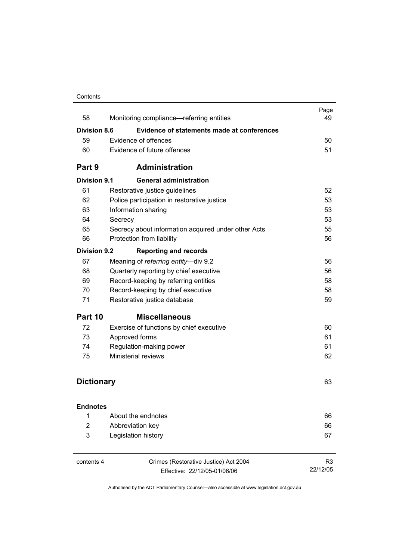#### **Contents**

| 58                  | Monitoring compliance—referring entities            | Page<br>49 |  |  |
|---------------------|-----------------------------------------------------|------------|--|--|
| Division 8.6        | Evidence of statements made at conferences          |            |  |  |
| 59                  | Evidence of offences                                | 50         |  |  |
| 60                  | Evidence of future offences                         | 51         |  |  |
|                     |                                                     |            |  |  |
| Part 9              | <b>Administration</b>                               |            |  |  |
| Division 9.1        | <b>General administration</b>                       |            |  |  |
| 61                  | Restorative justice guidelines                      | 52         |  |  |
| 62                  | Police participation in restorative justice         | 53         |  |  |
| 63                  | Information sharing                                 | 53         |  |  |
| 64                  | Secrecy                                             | 53         |  |  |
| 65                  | Secrecy about information acquired under other Acts | 55         |  |  |
| 66                  | Protection from liability                           | 56         |  |  |
| <b>Division 9.2</b> | <b>Reporting and records</b>                        |            |  |  |
| 67                  | Meaning of referring entity-div 9.2                 | 56         |  |  |
| 68                  | Quarterly reporting by chief executive              | 56         |  |  |
| 69                  | Record-keeping by referring entities                | 58         |  |  |
| 70                  | Record-keeping by chief executive                   |            |  |  |
| 71                  | Restorative justice database                        | 59         |  |  |
| Part 10             | <b>Miscellaneous</b>                                |            |  |  |
| 72                  | Exercise of functions by chief executive            | 60         |  |  |
| 73                  | Approved forms                                      | 61         |  |  |
| 74                  | Regulation-making power                             | 61         |  |  |
| 75                  | <b>Ministerial reviews</b>                          | 62         |  |  |
|                     |                                                     |            |  |  |
| <b>Dictionary</b>   |                                                     | 63         |  |  |
|                     |                                                     |            |  |  |
| <b>Endnotes</b>     |                                                     |            |  |  |
| 1                   | About the endnotes                                  | 66         |  |  |
| 2                   | Abbreviation key                                    | 66         |  |  |
| 3                   | Legislation history                                 | 67         |  |  |
|                     |                                                     |            |  |  |

Crimes (Restorative Justice) Act 2004 Effective: 22/12/05-01/06/06

R3 22/12/05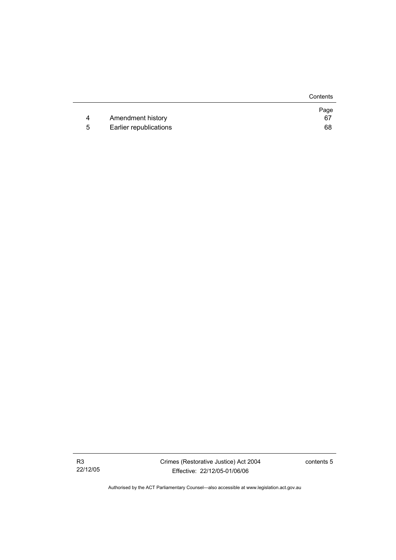|   |                        | Contents |
|---|------------------------|----------|
|   |                        | Page     |
| 4 | Amendment history      | 67       |
| 5 | Earlier republications | 68       |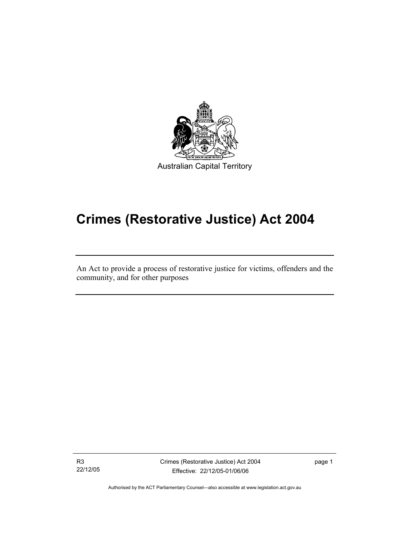

# **Crimes (Restorative Justice) Act 2004**

An Act to provide a process of restorative justice for victims, offenders and the community, and for other purposes

R3 22/12/05

I

Crimes (Restorative Justice) Act 2004 Effective: 22/12/05-01/06/06

page 1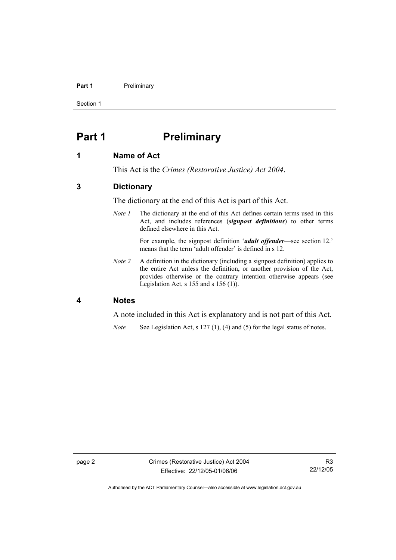#### **Part 1** Preliminary

Section 1

# **Part 1** Preliminary

### **1 Name of Act**

This Act is the *Crimes (Restorative Justice) Act 2004*.

# **3 Dictionary**

The dictionary at the end of this Act is part of this Act.

*Note 1* The dictionary at the end of this Act defines certain terms used in this Act, and includes references (*signpost definitions*) to other terms defined elsewhere in this Act.

> For example, the signpost definition '*adult offender*—see section 12.' means that the term 'adult offender' is defined in s 12.

*Note 2* A definition in the dictionary (including a signpost definition) applies to the entire Act unless the definition, or another provision of the Act, provides otherwise or the contrary intention otherwise appears (see Legislation Act,  $s$  155 and  $s$  156 (1)).

#### **4 Notes**

A note included in this Act is explanatory and is not part of this Act.

*Note* See Legislation Act, s 127 (1), (4) and (5) for the legal status of notes.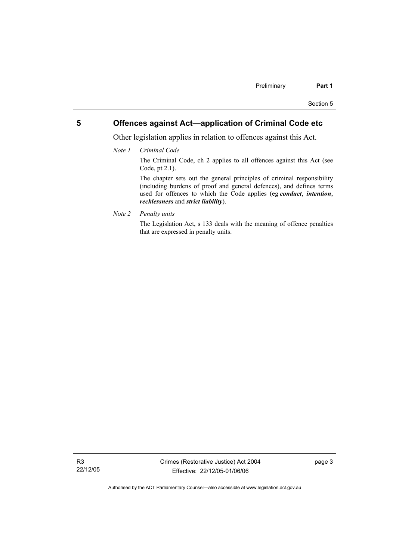# **5 Offences against Act—application of Criminal Code etc**

Other legislation applies in relation to offences against this Act.

*Note 1 Criminal Code*

The Criminal Code, ch 2 applies to all offences against this Act (see Code, pt 2.1).

The chapter sets out the general principles of criminal responsibility (including burdens of proof and general defences), and defines terms used for offences to which the Code applies (eg *conduct*, *intention*, *recklessness* and *strict liability*).

*Note 2 Penalty units* 

The Legislation Act, s 133 deals with the meaning of offence penalties that are expressed in penalty units.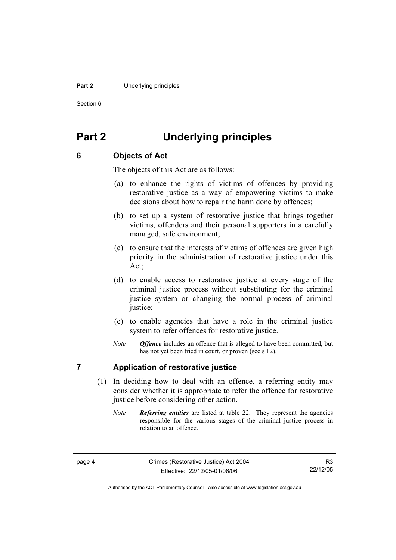#### **Part 2** Underlying principles

Section 6

# **Part 2 Underlying principles**

#### **6 Objects of Act**

The objects of this Act are as follows:

- (a) to enhance the rights of victims of offences by providing restorative justice as a way of empowering victims to make decisions about how to repair the harm done by offences;
- (b) to set up a system of restorative justice that brings together victims, offenders and their personal supporters in a carefully managed, safe environment;
- (c) to ensure that the interests of victims of offences are given high priority in the administration of restorative justice under this Act;
- (d) to enable access to restorative justice at every stage of the criminal justice process without substituting for the criminal justice system or changing the normal process of criminal justice;
- (e) to enable agencies that have a role in the criminal justice system to refer offences for restorative justice.
- *Note Offence* includes an offence that is alleged to have been committed, but has not yet been tried in court, or proven (see s 12).

# **7 Application of restorative justice**

- (1) In deciding how to deal with an offence, a referring entity may consider whether it is appropriate to refer the offence for restorative justice before considering other action.
	- *Note Referring entities* are listed at table 22. They represent the agencies responsible for the various stages of the criminal justice process in relation to an offence.

R3 22/12/05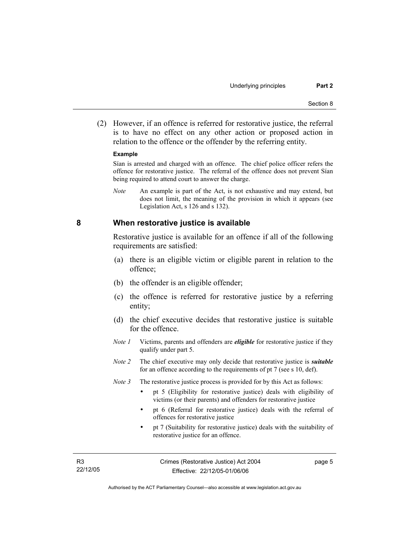(2) However, if an offence is referred for restorative justice, the referral is to have no effect on any other action or proposed action in relation to the offence or the offender by the referring entity.

#### **Example**

Sían is arrested and charged with an offence. The chief police officer refers the offence for restorative justice. The referral of the offence does not prevent Sían being required to attend court to answer the charge.

*Note* An example is part of the Act, is not exhaustive and may extend, but does not limit, the meaning of the provision in which it appears (see Legislation Act, s 126 and s 132).

### **8 When restorative justice is available**

Restorative justice is available for an offence if all of the following requirements are satisfied:

- (a) there is an eligible victim or eligible parent in relation to the offence;
- (b) the offender is an eligible offender;
- (c) the offence is referred for restorative justice by a referring entity;
- (d) the chief executive decides that restorative justice is suitable for the offence.
- *Note 1* Victims, parents and offenders are *eligible* for restorative justice if they qualify under part 5.
- *Note 2* The chief executive may only decide that restorative justice is *suitable*  for an offence according to the requirements of pt 7 (see s 10, def).

*Note 3* The restorative justice process is provided for by this Act as follows:

- pt 5 (Eligibility for restorative justice) deals with eligibility of victims (or their parents) and offenders for restorative justice
- pt 6 (Referral for restorative justice) deals with the referral of offences for restorative justice
- pt 7 (Suitability for restorative justice) deals with the suitability of restorative justice for an offence.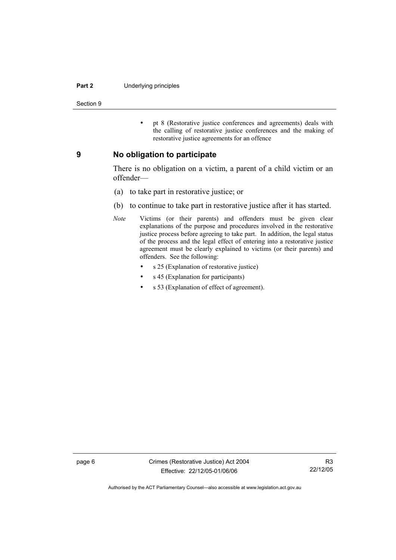#### **Part 2** Underlying principles

Section 9

• pt 8 (Restorative justice conferences and agreements) deals with the calling of restorative justice conferences and the making of restorative justice agreements for an offence

#### **9 No obligation to participate**

There is no obligation on a victim, a parent of a child victim or an offender—

- (a) to take part in restorative justice; or
- (b) to continue to take part in restorative justice after it has started.
- *Note* Victims (or their parents) and offenders must be given clear explanations of the purpose and procedures involved in the restorative justice process before agreeing to take part. In addition, the legal status of the process and the legal effect of entering into a restorative justice agreement must be clearly explained to victims (or their parents) and offenders. See the following:
	- s 25 (Explanation of restorative justice)
	- s 45 (Explanation for participants)
	- s 53 (Explanation of effect of agreement).

page 6 Crimes (Restorative Justice) Act 2004 Effective: 22/12/05-01/06/06

R3 22/12/05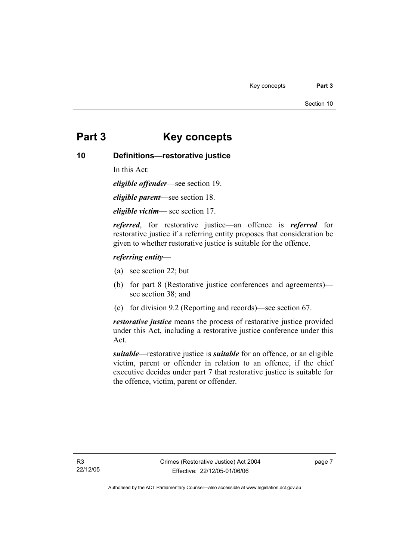# **Part 3 Key concepts**

# **10 Definitions—restorative justice**

In this Act:

*eligible offender*—see section 19.

*eligible parent*—see section 18.

*eligible victim*— see section 17.

*referred*, for restorative justice—an offence is *referred* for restorative justice if a referring entity proposes that consideration be given to whether restorative justice is suitable for the offence.

### *referring entity*—

- (a) see section 22; but
- (b) for part 8 (Restorative justice conferences and agreements) see section 38; and
- (c) for division 9.2 (Reporting and records)—see section 67.

*restorative justice* means the process of restorative justice provided under this Act, including a restorative justice conference under this Act.

*suitable*—restorative justice is *suitable* for an offence, or an eligible victim, parent or offender in relation to an offence, if the chief executive decides under part 7 that restorative justice is suitable for the offence, victim, parent or offender.

page 7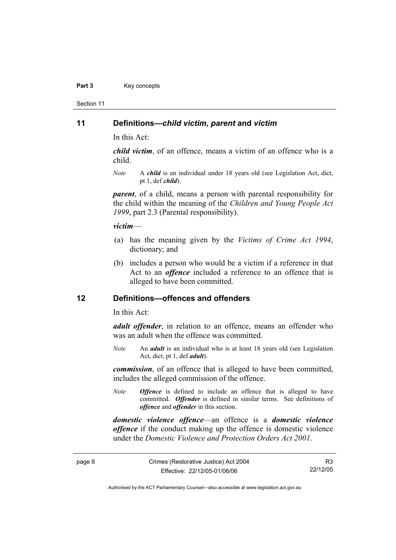#### Part 3 **Key concepts**

Section 11

#### **11 Definitions—***child victim***,** *parent* **and** *victim*

In this Act:

*child victim*, of an offence, means a victim of an offence who is a child.

*Note* A *child* is an individual under 18 years old (see Legislation Act, dict, pt 1, def *child*).

*parent*, of a child, means a person with parental responsibility for the child within the meaning of the *Children and Young People Act 1999*, part 2.3 (Parental responsibility).

#### *victim*—

- (a) has the meaning given by the *Victims of Crime Act 1994*, dictionary; and
- (b) includes a person who would be a victim if a reference in that Act to an *offence* included a reference to an offence that is alleged to have been committed.

#### **12 Definitions—offences and offenders**

In this Act:

*adult offender*, in relation to an offence, means an offender who was an adult when the offence was committed.

*Note* An *adult* is an individual who is at least 18 years old (see Legislation Act, dict, pt 1, def *adult*).

*commission*, of an offence that is alleged to have been committed, includes the alleged commission of the offence.

*Note Offence* is defined to include an offence that is alleged to have committed. *Offender* is defined in similar terms. See definitions of *offence* and *offender* in this section.

*domestic violence offence*—an offence is a *domestic violence offence* if the conduct making up the offence is domestic violence under the *Domestic Violence and Protection Orders Act 2001*.

R3 22/12/05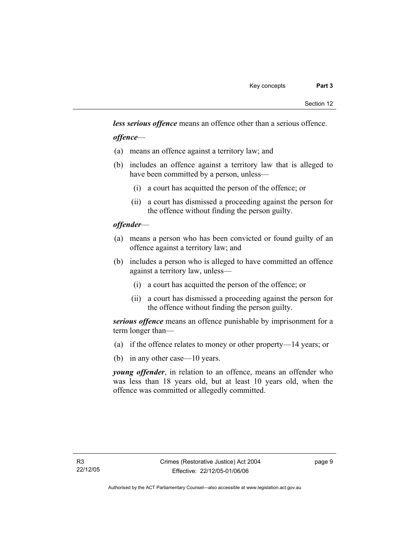*less serious offence* means an offence other than a serious offence.

*offence*—

- (a) means an offence against a territory law; and
- (b) includes an offence against a territory law that is alleged to have been committed by a person, unless—
	- (i) a court has acquitted the person of the offence; or
	- (ii) a court has dismissed a proceeding against the person for the offence without finding the person guilty.

## *offender*—

- (a) means a person who has been convicted or found guilty of an offence against a territory law; and
- (b) includes a person who is alleged to have committed an offence against a territory law, unless—
	- (i) a court has acquitted the person of the offence; or
	- (ii) a court has dismissed a proceeding against the person for the offence without finding the person guilty.

*serious offence* means an offence punishable by imprisonment for a term longer than—

- (a) if the offence relates to money or other property—14 years; or
- (b) in any other case—10 years.

*young offender*, in relation to an offence, means an offender who was less than 18 years old, but at least 10 years old, when the offence was committed or allegedly committed.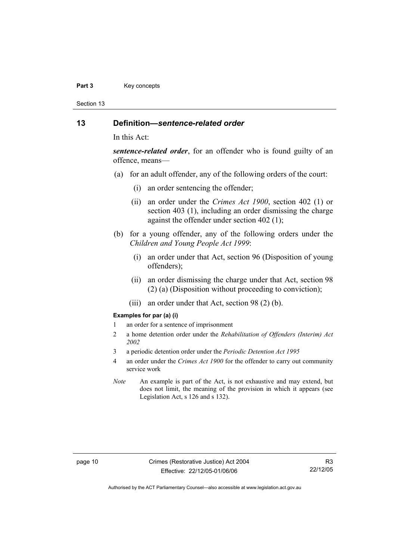#### Part 3 **Key concepts**

Section 13

### **13 Definition—***sentence-related order*

In this Act:

*sentence-related order*, for an offender who is found guilty of an offence, means—

- (a) for an adult offender, any of the following orders of the court:
	- (i) an order sentencing the offender;
	- (ii) an order under the *Crimes Act 1900*, section 402 (1) or section 403 (1), including an order dismissing the charge against the offender under section 402 (1);
- (b) for a young offender, any of the following orders under the *Children and Young People Act 1999*:
	- (i) an order under that Act, section 96 (Disposition of young offenders);
	- (ii) an order dismissing the charge under that Act, section 98 (2) (a) (Disposition without proceeding to conviction);
	- (iii) an order under that Act, section 98 (2) (b).

#### **Examples for par (a) (i)**

- 1 an order for a sentence of imprisonment
- 2 a home detention order under the *Rehabilitation of Offenders (Interim) Act 2002*
- 3 a periodic detention order under the *Periodic Detention Act 1995*
- 4 an order under the *Crimes Act 1900* for the offender to carry out community service work
- *Note* An example is part of the Act, is not exhaustive and may extend, but does not limit, the meaning of the provision in which it appears (see Legislation Act, s 126 and s 132).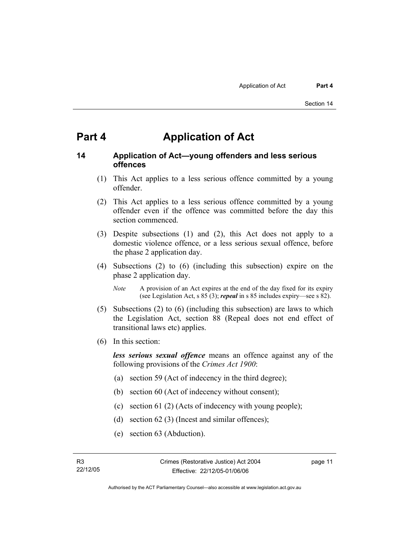# **Part 4 Application of Act**

## **14 Application of Act—young offenders and less serious offences**

- (1) This Act applies to a less serious offence committed by a young offender.
- (2) This Act applies to a less serious offence committed by a young offender even if the offence was committed before the day this section commenced.
- (3) Despite subsections (1) and (2), this Act does not apply to a domestic violence offence, or a less serious sexual offence, before the phase 2 application day.
- (4) Subsections (2) to (6) (including this subsection) expire on the phase 2 application day.

*Note* A provision of an Act expires at the end of the day fixed for its expiry (see Legislation Act, s 85 (3); *repeal* in s 85 includes expiry—see s 82).

- (5) Subsections (2) to (6) (including this subsection) are laws to which the Legislation Act, section 88 (Repeal does not end effect of transitional laws etc) applies.
- (6) In this section:

*less serious sexual offence* means an offence against any of the following provisions of the *Crimes Act 1900*:

- (a) section 59 (Act of indecency in the third degree);
- (b) section 60 (Act of indecency without consent);
- (c) section 61 (2) (Acts of indecency with young people);
- (d) section 62 (3) (Incest and similar offences);
- (e) section 63 (Abduction).

page 11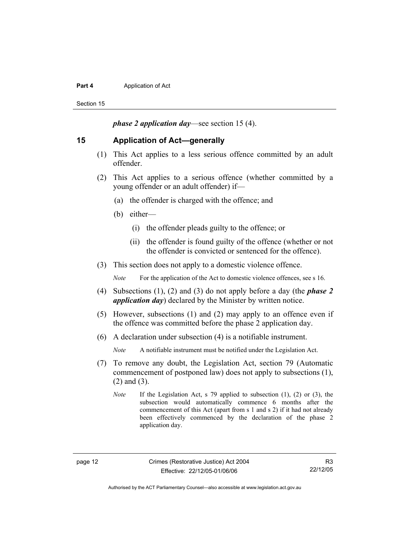#### **Part 4 Application of Act**

Section 15

*phase 2 application day*—see section 15 (4).

#### **15 Application of Act—generally**

- (1) This Act applies to a less serious offence committed by an adult offender.
- (2) This Act applies to a serious offence (whether committed by a young offender or an adult offender) if—
	- (a) the offender is charged with the offence; and
	- (b) either—
		- (i) the offender pleads guilty to the offence; or
		- (ii) the offender is found guilty of the offence (whether or not the offender is convicted or sentenced for the offence).
- (3) This section does not apply to a domestic violence offence.

*Note* For the application of the Act to domestic violence offences, see s 16.

- (4) Subsections (1), (2) and (3) do not apply before a day (the *phase 2 application day*) declared by the Minister by written notice.
- (5) However, subsections (1) and (2) may apply to an offence even if the offence was committed before the phase 2 application day.
- (6) A declaration under subsection (4) is a notifiable instrument.

*Note* A notifiable instrument must be notified under the Legislation Act.

- (7) To remove any doubt, the Legislation Act, section 79 (Automatic commencement of postponed law) does not apply to subsections (1), (2) and (3).
	- *Note* If the Legislation Act, s 79 applied to subsection (1), (2) or (3), the subsection would automatically commence 6 months after the commencement of this Act (apart from s 1 and s 2) if it had not already been effectively commenced by the declaration of the phase 2 application day.

R3 22/12/05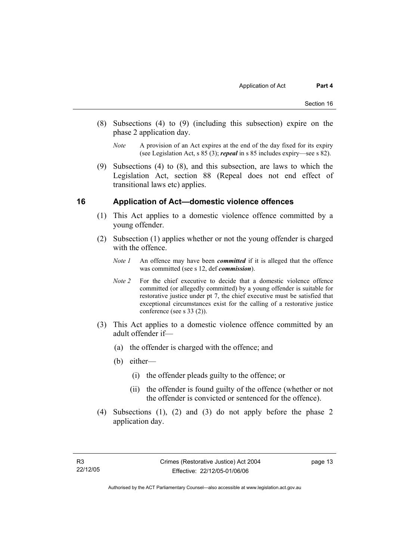- (8) Subsections (4) to (9) (including this subsection) expire on the phase 2 application day.
	- *Note* A provision of an Act expires at the end of the day fixed for its expiry (see Legislation Act, s 85 (3); *repeal* in s 85 includes expiry—see s 82).
- (9) Subsections (4) to (8), and this subsection, are laws to which the Legislation Act, section 88 (Repeal does not end effect of transitional laws etc) applies.

### **16 Application of Act—domestic violence offences**

- (1) This Act applies to a domestic violence offence committed by a young offender.
- (2) Subsection (1) applies whether or not the young offender is charged with the offence.
	- *Note 1* An offence may have been *committed* if it is alleged that the offence was committed (see s 12, def *commission*).
	- *Note 2* For the chief executive to decide that a domestic violence offence committed (or allegedly committed) by a young offender is suitable for restorative justice under pt 7, the chief executive must be satisfied that exceptional circumstances exist for the calling of a restorative justice conference (see s 33 (2)).
- (3) This Act applies to a domestic violence offence committed by an adult offender if—
	- (a) the offender is charged with the offence; and
	- (b) either—
		- (i) the offender pleads guilty to the offence; or
		- (ii) the offender is found guilty of the offence (whether or not the offender is convicted or sentenced for the offence).
- (4) Subsections (1), (2) and (3) do not apply before the phase 2 application day.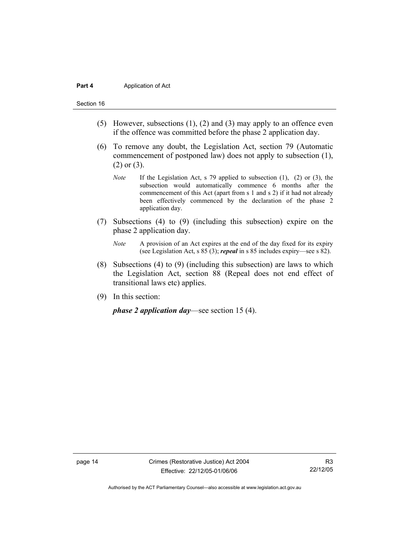#### **Part 4 Application of Act**

#### Section 16

- (5) However, subsections (1), (2) and (3) may apply to an offence even if the offence was committed before the phase 2 application day.
- (6) To remove any doubt, the Legislation Act, section 79 (Automatic commencement of postponed law) does not apply to subsection (1), (2) or (3).
	- *Note* If the Legislation Act, s 79 applied to subsection (1), (2) or (3), the subsection would automatically commence 6 months after the commencement of this Act (apart from s 1 and s 2) if it had not already been effectively commenced by the declaration of the phase 2 application day.
- (7) Subsections (4) to (9) (including this subsection) expire on the phase 2 application day.
	- *Note* A provision of an Act expires at the end of the day fixed for its expiry (see Legislation Act, s 85 (3); *repeal* in s 85 includes expiry—see s 82).
- (8) Subsections (4) to (9) (including this subsection) are laws to which the Legislation Act, section 88 (Repeal does not end effect of transitional laws etc) applies.
- (9) In this section:

*phase 2 application day*—see section 15 (4).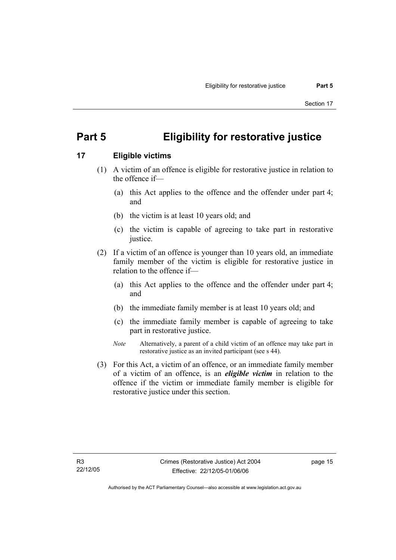# **Part 5 Eligibility for restorative justice**

# **17 Eligible victims**

- (1) A victim of an offence is eligible for restorative justice in relation to the offence if—
	- (a) this Act applies to the offence and the offender under part 4; and
	- (b) the victim is at least 10 years old; and
	- (c) the victim is capable of agreeing to take part in restorative justice.
- (2) If a victim of an offence is younger than 10 years old, an immediate family member of the victim is eligible for restorative justice in relation to the offence if—
	- (a) this Act applies to the offence and the offender under part 4; and
	- (b) the immediate family member is at least 10 years old; and
	- (c) the immediate family member is capable of agreeing to take part in restorative justice.
	- *Note* Alternatively, a parent of a child victim of an offence may take part in restorative justice as an invited participant (see s 44).
- (3) For this Act, a victim of an offence, or an immediate family member of a victim of an offence, is an *eligible victim* in relation to the offence if the victim or immediate family member is eligible for restorative justice under this section.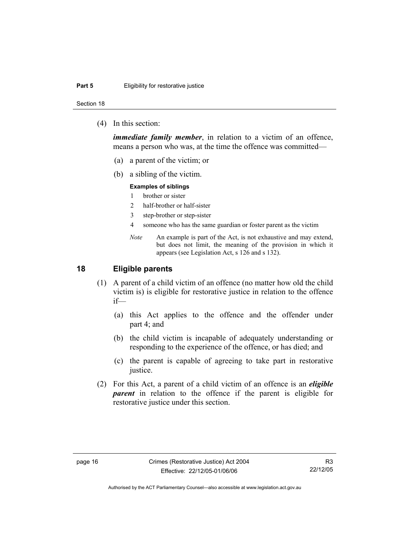#### **Part 5 Eligibility for restorative justice**

Section 18

(4) In this section:

*immediate family member*, in relation to a victim of an offence, means a person who was, at the time the offence was committed—

- (a) a parent of the victim; or
- (b) a sibling of the victim.

#### **Examples of siblings**

- 1 brother or sister
- 2 half-brother or half-sister
- 3 step-brother or step-sister
- 4 someone who has the same guardian or foster parent as the victim
- *Note* An example is part of the Act, is not exhaustive and may extend, but does not limit, the meaning of the provision in which it appears (see Legislation Act, s 126 and s 132).

## **18 Eligible parents**

- (1) A parent of a child victim of an offence (no matter how old the child victim is) is eligible for restorative justice in relation to the offence if—
	- (a) this Act applies to the offence and the offender under part 4; and
	- (b) the child victim is incapable of adequately understanding or responding to the experience of the offence, or has died; and
	- (c) the parent is capable of agreeing to take part in restorative justice.
- (2) For this Act, a parent of a child victim of an offence is an *eligible parent* in relation to the offence if the parent is eligible for restorative justice under this section.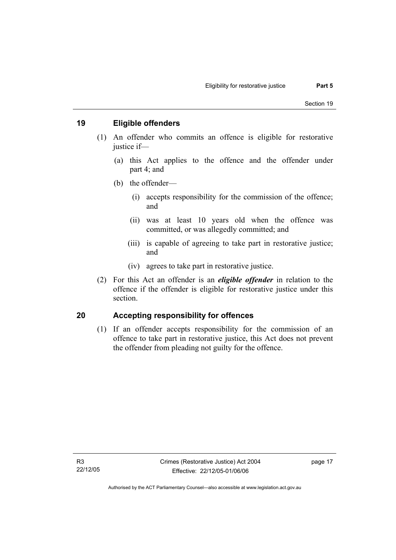# **19 Eligible offenders**

- (1) An offender who commits an offence is eligible for restorative justice if—
	- (a) this Act applies to the offence and the offender under part 4; and
	- (b) the offender—
		- (i) accepts responsibility for the commission of the offence; and
		- (ii) was at least 10 years old when the offence was committed, or was allegedly committed; and
		- (iii) is capable of agreeing to take part in restorative justice; and
		- (iv) agrees to take part in restorative justice.
- (2) For this Act an offender is an *eligible offender* in relation to the offence if the offender is eligible for restorative justice under this section.

## **20 Accepting responsibility for offences**

 (1) If an offender accepts responsibility for the commission of an offence to take part in restorative justice, this Act does not prevent the offender from pleading not guilty for the offence.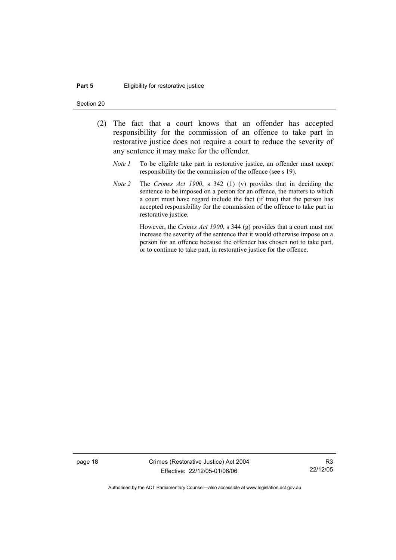#### **Part 5 Eligibility for restorative justice**

Section 20

- (2) The fact that a court knows that an offender has accepted responsibility for the commission of an offence to take part in restorative justice does not require a court to reduce the severity of any sentence it may make for the offender.
	- *Note 1* To be eligible take part in restorative justice, an offender must accept responsibility for the commission of the offence (see s 19).
	- *Note 2* The *Crimes Act 1900*, s 342 (1) (v) provides that in deciding the sentence to be imposed on a person for an offence, the matters to which a court must have regard include the fact (if true) that the person has accepted responsibility for the commission of the offence to take part in restorative justice.

However, the *Crimes Act 1900*, s 344 (g) provides that a court must not increase the severity of the sentence that it would otherwise impose on a person for an offence because the offender has chosen not to take part, or to continue to take part, in restorative justice for the offence.

page 18 Crimes (Restorative Justice) Act 2004 Effective: 22/12/05-01/06/06

R3 22/12/05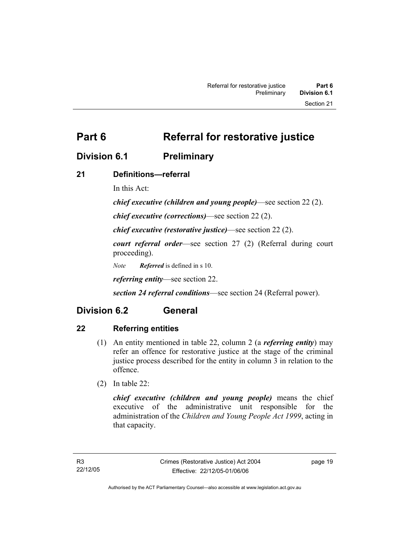**Part 6** Referral for restorative justice

# **Division 6.1 Preliminary**

# **21 Definitions—referral**

In this Act:

*chief executive (children and young people)*—see section 22 (2).

*chief executive (corrections)*—see section 22 (2).

*chief executive (restorative justice)*—see section 22 (2).

*court referral order*—see section 27 (2) (Referral during court proceeding).

*Note Referred* is defined in s 10.

*referring entity*—see section 22.

*section 24 referral conditions*—see section 24 (Referral power).

# **Division 6.2 General**

# **22 Referring entities**

- (1) An entity mentioned in table 22, column 2 (a *referring entity*) may refer an offence for restorative justice at the stage of the criminal justice process described for the entity in column 3 in relation to the offence.
- (2) In table 22:

*chief executive (children and young people)* means the chief executive of the administrative unit responsible for the administration of the *Children and Young People Act 1999*, acting in that capacity.

page 19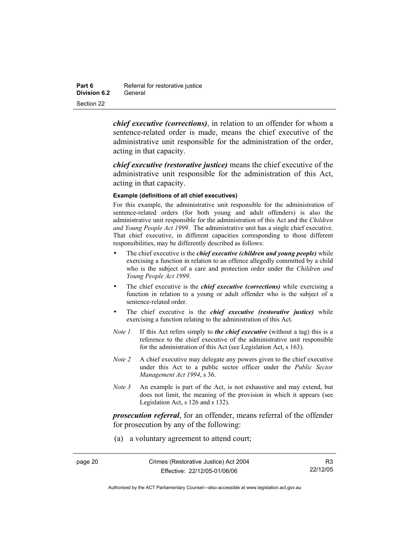**Part 6 Referral for restorative justice Division 6.2** General Section 22

> *chief executive (corrections)*, in relation to an offender for whom a sentence-related order is made, means the chief executive of the administrative unit responsible for the administration of the order, acting in that capacity.

> *chief executive (restorative justice)* means the chief executive of the administrative unit responsible for the administration of this Act, acting in that capacity.

#### **Example (definitions of all chief executives)**

For this example, the administrative unit responsible for the administration of sentence-related orders (for both young and adult offenders) is also the administrative unit responsible for the administration of this Act and the *Children and Young People Act 1999*. The administrative unit has a single chief executive. That chief executive, in different capacities corresponding to those different responsibilities, may be differently described as follows:

- The chief executive is the *chief executive (children and young people)* while exercising a function in relation to an offence allegedly committed by a child who is the subject of a care and protection order under the *Children and Young People Act 1999*.
- The chief executive is the *chief executive (corrections)* while exercising a function in relation to a young or adult offender who is the subject of a sentence-related order.
- The chief executive is the *chief executive (restorative justice)* while exercising a function relating to the administration of this Act.
- *Note 1* If this Act refers simply to *the chief executive* (without a tag) this is a reference to the chief executive of the administrative unit responsible for the administration of this Act (see Legislation Act, s 163).
- *Note 2* A chief executive may delegate any powers given to the chief executive under this Act to a public sector officer under the *Public Sector Management Act 1994*, s 36.
- *Note 3* An example is part of the Act, is not exhaustive and may extend, but does not limit, the meaning of the provision in which it appears (see Legislation Act, s 126 and s 132).

*prosecution referral*, for an offender, means referral of the offender for prosecution by any of the following:

(a) a voluntary agreement to attend court;

page 20 Crimes (Restorative Justice) Act 2004 Effective: 22/12/05-01/06/06

R3 22/12/05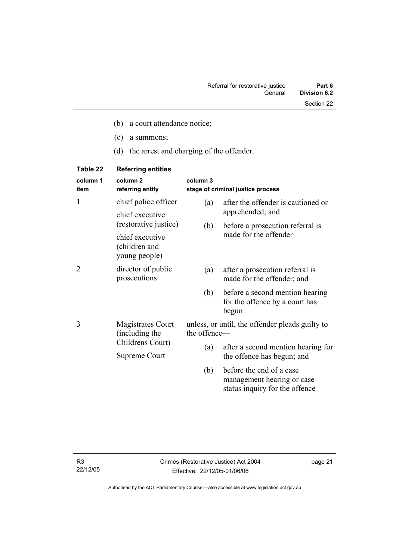- (b) a court attendance notice;
- (c) a summons;
- (d) the arrest and charging of the offender.

| column 1<br>item | column <sub>2</sub><br>referring entity           | column 3     | stage of criminal justice process                                                        |
|------------------|---------------------------------------------------|--------------|------------------------------------------------------------------------------------------|
| 1                | chief police officer                              | (a)          | after the offender is cautioned or                                                       |
|                  | chief executive<br>(restorative justice)          | (b)          | apprehended; and<br>before a prosecution referral is<br>made for the offender            |
|                  | chief executive<br>(children and<br>young people) |              |                                                                                          |
| 2                | director of public<br>prosecutions                | (a)          | after a prosecution referral is<br>made for the offender; and                            |
|                  |                                                   | (b)          | before a second mention hearing<br>for the offence by a court has<br>begun               |
| 3                | <b>Magistrates Court</b><br>(including the        | the offence- | unless, or until, the offender pleads guilty to                                          |
|                  | Childrens Court)<br>Supreme Court                 | (a)          | after a second mention hearing for<br>the offence has begun; and                         |
|                  |                                                   | (b)          | before the end of a case<br>management hearing or case<br>status inquiry for the offence |

# **Table 22 Referring entities**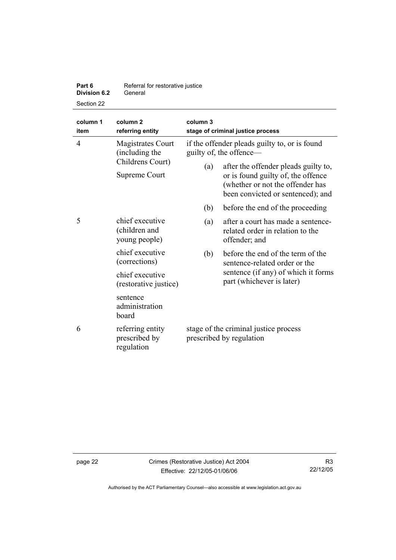| Part 6              | Referral for restorative justice |
|---------------------|----------------------------------|
| <b>Division 6.2</b> | General                          |
| Section 22          |                                  |

| column 1<br>item                                                      | column <sub>2</sub><br>referring entity           | column 3<br>stage of criminal justice process                            |                                                                                                                                                     |
|-----------------------------------------------------------------------|---------------------------------------------------|--------------------------------------------------------------------------|-----------------------------------------------------------------------------------------------------------------------------------------------------|
| $\overline{4}$<br>(including the<br>Childrens Court)<br>Supreme Court | Magistrates Court                                 | if the offender pleads guilty to, or is found<br>guilty of, the offence— |                                                                                                                                                     |
|                                                                       |                                                   | (a)                                                                      | after the offender pleads guilty to,<br>or is found guilty of, the offence<br>(whether or not the offender has<br>been convicted or sentenced); and |
|                                                                       |                                                   | (b)                                                                      | before the end of the proceeding                                                                                                                    |
| 5                                                                     | chief executive<br>(children and<br>young people) | (a)                                                                      | after a court has made a sentence-<br>related order in relation to the<br>offender; and                                                             |
| chief executive<br>(corrections)                                      | (b)                                               | before the end of the term of the<br>sentence-related order or the       |                                                                                                                                                     |
|                                                                       | chief executive<br>(restorative justice)          |                                                                          | sentence (if any) of which it forms<br>part (whichever is later)                                                                                    |
|                                                                       | sentence<br>administration<br>board               |                                                                          |                                                                                                                                                     |
| 6                                                                     | referring entity<br>prescribed by<br>regulation   | stage of the criminal justice process<br>prescribed by regulation        |                                                                                                                                                     |

page 22 Crimes (Restorative Justice) Act 2004 Effective: 22/12/05-01/06/06

R3 22/12/05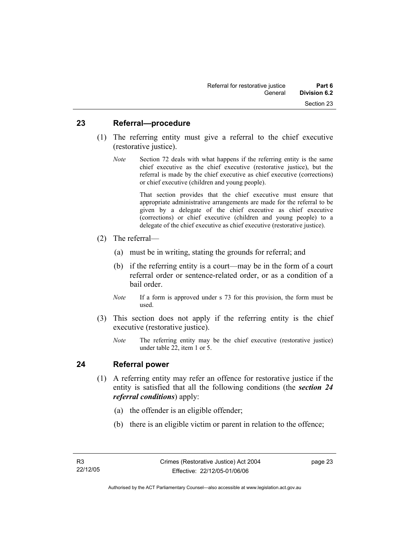## **23 Referral—procedure**

- (1) The referring entity must give a referral to the chief executive (restorative justice).
	- *Note* Section 72 deals with what happens if the referring entity is the same chief executive as the chief executive (restorative justice), but the referral is made by the chief executive as chief executive (corrections) or chief executive (children and young people).

 That section provides that the chief executive must ensure that appropriate administrative arrangements are made for the referral to be given by a delegate of the chief executive as chief executive (corrections) or chief executive (children and young people) to a delegate of the chief executive as chief executive (restorative justice).

- (2) The referral—
	- (a) must be in writing, stating the grounds for referral; and
	- (b) if the referring entity is a court—may be in the form of a court referral order or sentence-related order, or as a condition of a bail order.
	- *Note* If a form is approved under s 73 for this provision, the form must be used.
- (3) This section does not apply if the referring entity is the chief executive (restorative justice).
	- *Note* The referring entity may be the chief executive (restorative justice) under table 22, item 1 or 5.

## **24 Referral power**

- (1) A referring entity may refer an offence for restorative justice if the entity is satisfied that all the following conditions (the *section 24 referral conditions*) apply:
	- (a) the offender is an eligible offender;
	- (b) there is an eligible victim or parent in relation to the offence;

page 23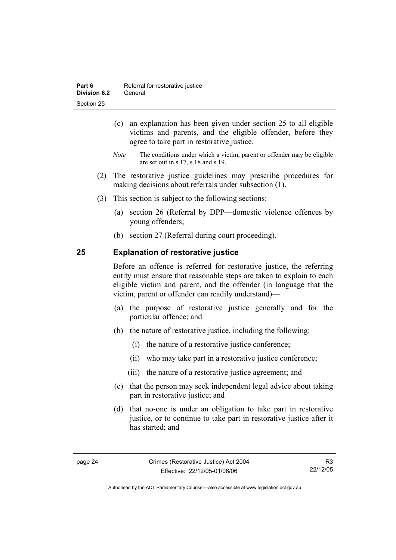- (c) an explanation has been given under section 25 to all eligible victims and parents, and the eligible offender, before they agree to take part in restorative justice.
- *Note* The conditions under which a victim, parent or offender may be eligible are set out in s 17, s 18 and s 19.
- (2) The restorative justice guidelines may prescribe procedures for making decisions about referrals under subsection (1).
- (3) This section is subject to the following sections:
	- (a) section 26 (Referral by DPP—domestic violence offences by young offenders;
	- (b) section 27 (Referral during court proceeding).

# **25 Explanation of restorative justice**

Before an offence is referred for restorative justice, the referring entity must ensure that reasonable steps are taken to explain to each eligible victim and parent, and the offender (in language that the victim, parent or offender can readily understand)—

- (a) the purpose of restorative justice generally and for the particular offence; and
- (b) the nature of restorative justice, including the following:
	- (i) the nature of a restorative justice conference;
	- (ii) who may take part in a restorative justice conference;
	- (iii) the nature of a restorative justice agreement; and
- (c) that the person may seek independent legal advice about taking part in restorative justice; and
- (d) that no-one is under an obligation to take part in restorative justice, or to continue to take part in restorative justice after it has started; and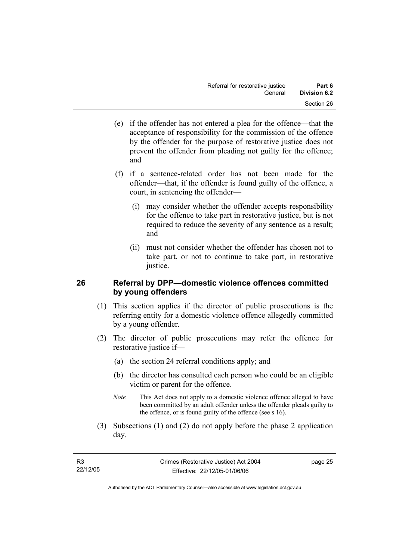- (e) if the offender has not entered a plea for the offence—that the acceptance of responsibility for the commission of the offence by the offender for the purpose of restorative justice does not prevent the offender from pleading not guilty for the offence; and
- (f) if a sentence-related order has not been made for the offender—that, if the offender is found guilty of the offence, a court, in sentencing the offender—
	- (i) may consider whether the offender accepts responsibility for the offence to take part in restorative justice, but is not required to reduce the severity of any sentence as a result; and
	- (ii) must not consider whether the offender has chosen not to take part, or not to continue to take part, in restorative justice.

# **26 Referral by DPP—domestic violence offences committed by young offenders**

- (1) This section applies if the director of public prosecutions is the referring entity for a domestic violence offence allegedly committed by a young offender.
- (2) The director of public prosecutions may refer the offence for restorative justice if—
	- (a) the section 24 referral conditions apply; and
	- (b) the director has consulted each person who could be an eligible victim or parent for the offence.
	- *Note* This Act does not apply to a domestic violence offence alleged to have been committed by an adult offender unless the offender pleads guilty to the offence, or is found guilty of the offence (see s 16).
- (3) Subsections (1) and (2) do not apply before the phase 2 application day.

page 25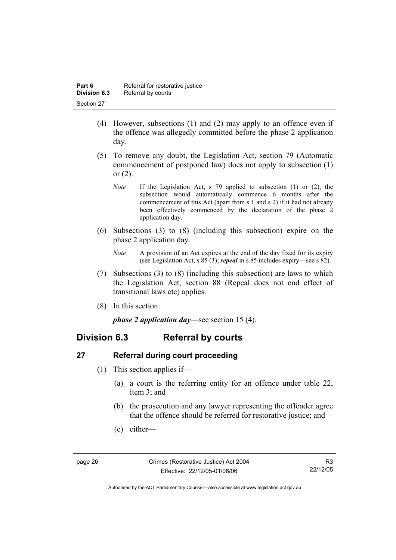- (4) However, subsections (1) and (2) may apply to an offence even if the offence was allegedly committed before the phase 2 application day.
- (5) To remove any doubt, the Legislation Act, section 79 (Automatic commencement of postponed law) does not apply to subsection (1) or (2).
	- *Note* If the Legislation Act, s 79 applied to subsection (1) or (2), the subsection would automatically commence 6 months after the commencement of this Act (apart from s 1 and s 2) if it had not already been effectively commenced by the declaration of the phase 2 application day.
- (6) Subsections (3) to (8) (including this subsection) expire on the phase 2 application day.
	- *Note* A provision of an Act expires at the end of the day fixed for its expiry (see Legislation Act, s 85 (3); *repeal* in s 85 includes expiry—see s 82).
- (7) Subsections (3) to (8) (including this subsection) are laws to which the Legislation Act, section 88 (Repeal does not end effect of transitional laws etc) applies.
- (8) In this section:

*phase 2 application day*—see section 15 (4).

# **Division 6.3 Referral by courts**

# **27 Referral during court proceeding**

- (1) This section applies if—
	- (a) a court is the referring entity for an offence under table 22, item 3; and
	- (b) the prosecution and any lawyer representing the offender agree that the offence should be referred for restorative justice; and
	- (c) either—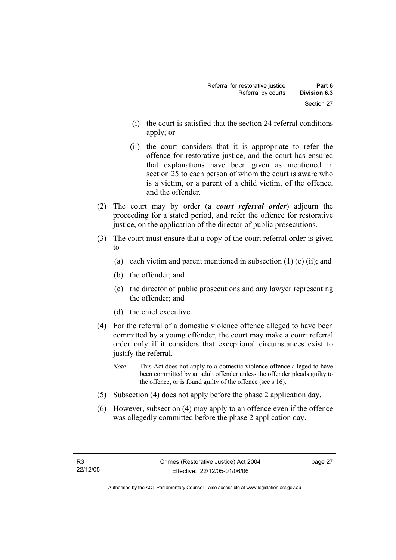- (i) the court is satisfied that the section 24 referral conditions apply; or
- (ii) the court considers that it is appropriate to refer the offence for restorative justice, and the court has ensured that explanations have been given as mentioned in section 25 to each person of whom the court is aware who is a victim, or a parent of a child victim, of the offence, and the offender.
- (2) The court may by order (a *court referral order*) adjourn the proceeding for a stated period, and refer the offence for restorative justice, on the application of the director of public prosecutions.
- (3) The court must ensure that a copy of the court referral order is given  $to$ —
	- (a) each victim and parent mentioned in subsection  $(1)$  (c) (ii); and
	- (b) the offender; and
	- (c) the director of public prosecutions and any lawyer representing the offender; and
	- (d) the chief executive.
- (4) For the referral of a domestic violence offence alleged to have been committed by a young offender, the court may make a court referral order only if it considers that exceptional circumstances exist to justify the referral.
	- *Note* This Act does not apply to a domestic violence offence alleged to have been committed by an adult offender unless the offender pleads guilty to the offence, or is found guilty of the offence (see s 16).
- (5) Subsection (4) does not apply before the phase 2 application day.
- (6) However, subsection (4) may apply to an offence even if the offence was allegedly committed before the phase 2 application day.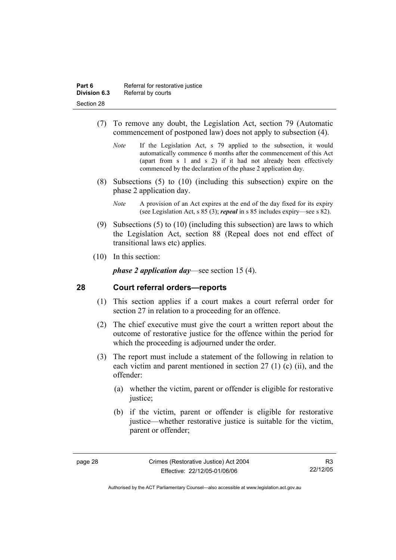- (7) To remove any doubt, the Legislation Act, section 79 (Automatic commencement of postponed law) does not apply to subsection (4).
	- *Note* If the Legislation Act, s 79 applied to the subsection, it would automatically commence 6 months after the commencement of this Act (apart from s 1 and s 2) if it had not already been effectively commenced by the declaration of the phase 2 application day.
- (8) Subsections (5) to (10) (including this subsection) expire on the phase 2 application day.
	- *Note* A provision of an Act expires at the end of the day fixed for its expiry (see Legislation Act, s 85 (3); *repeal* in s 85 includes expiry—see s 82).
- (9) Subsections (5) to (10) (including this subsection) are laws to which the Legislation Act, section 88 (Repeal does not end effect of transitional laws etc) applies.
- (10) In this section:

*phase 2 application day*—see section 15 (4).

# **28 Court referral orders—reports**

- (1) This section applies if a court makes a court referral order for section 27 in relation to a proceeding for an offence.
- (2) The chief executive must give the court a written report about the outcome of restorative justice for the offence within the period for which the proceeding is adjourned under the order.
- (3) The report must include a statement of the following in relation to each victim and parent mentioned in section 27 (1) (c) (ii), and the offender:
	- (a) whether the victim, parent or offender is eligible for restorative justice;
	- (b) if the victim, parent or offender is eligible for restorative justice—whether restorative justice is suitable for the victim, parent or offender;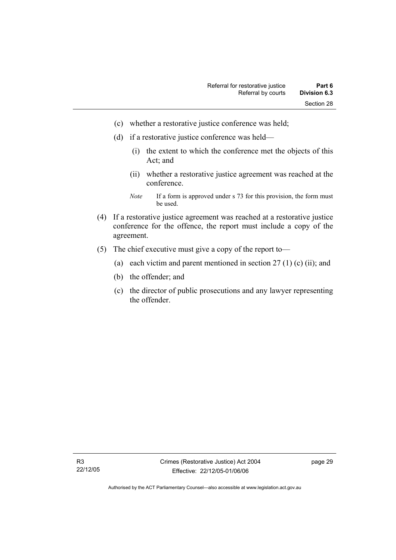- (c) whether a restorative justice conference was held;
- (d) if a restorative justice conference was held—
	- (i) the extent to which the conference met the objects of this Act; and
	- (ii) whether a restorative justice agreement was reached at the conference.
	- *Note* If a form is approved under s 73 for this provision, the form must be used.
- (4) If a restorative justice agreement was reached at a restorative justice conference for the offence, the report must include a copy of the agreement.
- (5) The chief executive must give a copy of the report to—
	- (a) each victim and parent mentioned in section  $27 (1) (c) (ii)$ ; and
	- (b) the offender; and
	- (c) the director of public prosecutions and any lawyer representing the offender.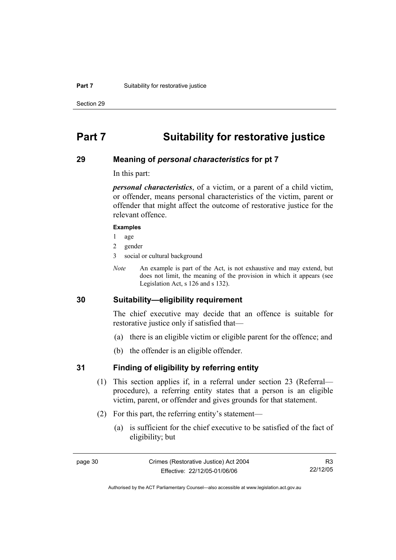#### **Part 7** Suitability for restorative justice

Section 29

# **Part 7 Suitability for restorative justice**

#### **29 Meaning of** *personal characteristics* **for pt 7**

In this part:

*personal characteristics*, of a victim, or a parent of a child victim, or offender, means personal characteristics of the victim, parent or offender that might affect the outcome of restorative justice for the relevant offence.

#### **Examples**

- 1 age
- 2 gender
- 3 social or cultural background
- *Note* An example is part of the Act, is not exhaustive and may extend, but does not limit, the meaning of the provision in which it appears (see Legislation Act, s 126 and s 132).

#### **30 Suitability—eligibility requirement**

The chief executive may decide that an offence is suitable for restorative justice only if satisfied that—

- (a) there is an eligible victim or eligible parent for the offence; and
- (b) the offender is an eligible offender.

#### **31 Finding of eligibility by referring entity**

- (1) This section applies if, in a referral under section 23 (Referral procedure), a referring entity states that a person is an eligible victim, parent, or offender and gives grounds for that statement.
- (2) For this part, the referring entity's statement—
	- (a) is sufficient for the chief executive to be satisfied of the fact of eligibility; but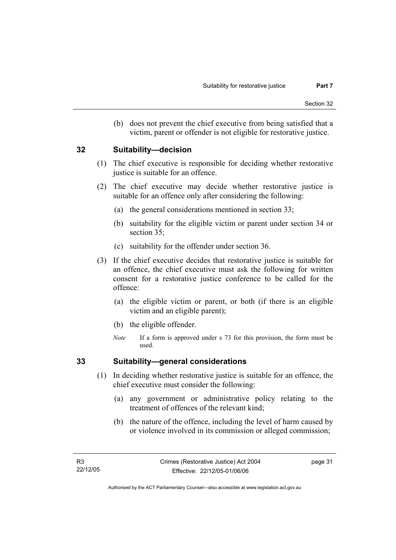(b) does not prevent the chief executive from being satisfied that a victim, parent or offender is not eligible for restorative justice.

#### **32 Suitability—decision**

- (1) The chief executive is responsible for deciding whether restorative justice is suitable for an offence.
- (2) The chief executive may decide whether restorative justice is suitable for an offence only after considering the following:
	- (a) the general considerations mentioned in section 33;
	- (b) suitability for the eligible victim or parent under section 34 or section 35;
	- (c) suitability for the offender under section 36.
- (3) If the chief executive decides that restorative justice is suitable for an offence, the chief executive must ask the following for written consent for a restorative justice conference to be called for the offence:
	- (a) the eligible victim or parent, or both (if there is an eligible victim and an eligible parent);
	- (b) the eligible offender.
	- *Note* If a form is approved under s 73 for this provision, the form must be used.

#### **33 Suitability—general considerations**

- (1) In deciding whether restorative justice is suitable for an offence, the chief executive must consider the following:
	- (a) any government or administrative policy relating to the treatment of offences of the relevant kind;
	- (b) the nature of the offence, including the level of harm caused by or violence involved in its commission or alleged commission;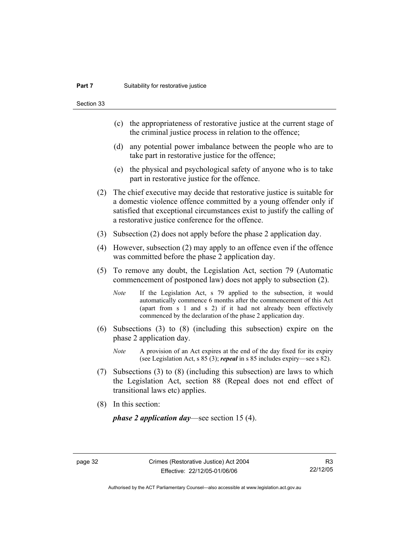Section 33

- (c) the appropriateness of restorative justice at the current stage of the criminal justice process in relation to the offence;
- (d) any potential power imbalance between the people who are to take part in restorative justice for the offence;
- (e) the physical and psychological safety of anyone who is to take part in restorative justice for the offence.
- (2) The chief executive may decide that restorative justice is suitable for a domestic violence offence committed by a young offender only if satisfied that exceptional circumstances exist to justify the calling of a restorative justice conference for the offence.
- (3) Subsection (2) does not apply before the phase 2 application day.
- (4) However, subsection (2) may apply to an offence even if the offence was committed before the phase 2 application day.
- (5) To remove any doubt, the Legislation Act, section 79 (Automatic commencement of postponed law) does not apply to subsection (2).
	- *Note* If the Legislation Act, s 79 applied to the subsection, it would automatically commence 6 months after the commencement of this Act (apart from s 1 and s 2) if it had not already been effectively commenced by the declaration of the phase 2 application day.
- (6) Subsections (3) to (8) (including this subsection) expire on the phase 2 application day.
	- *Note* A provision of an Act expires at the end of the day fixed for its expiry (see Legislation Act, s 85 (3); *repeal* in s 85 includes expiry—see s 82).
- (7) Subsections (3) to (8) (including this subsection) are laws to which the Legislation Act, section 88 (Repeal does not end effect of transitional laws etc) applies.
- (8) In this section:

*phase 2 application day*—see section 15 (4).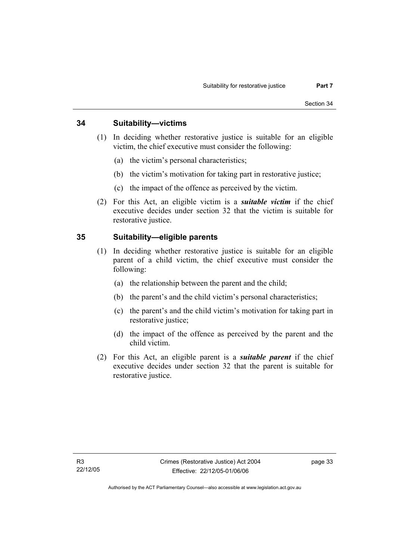#### **34 Suitability—victims**

- (1) In deciding whether restorative justice is suitable for an eligible victim, the chief executive must consider the following:
	- (a) the victim's personal characteristics;
	- (b) the victim's motivation for taking part in restorative justice;
	- (c) the impact of the offence as perceived by the victim.
- (2) For this Act, an eligible victim is a *suitable victim* if the chief executive decides under section 32 that the victim is suitable for restorative justice.

### **35 Suitability—eligible parents**

- (1) In deciding whether restorative justice is suitable for an eligible parent of a child victim, the chief executive must consider the following:
	- (a) the relationship between the parent and the child;
	- (b) the parent's and the child victim's personal characteristics;
	- (c) the parent's and the child victim's motivation for taking part in restorative justice;
	- (d) the impact of the offence as perceived by the parent and the child victim.
- (2) For this Act, an eligible parent is a *suitable parent* if the chief executive decides under section 32 that the parent is suitable for restorative justice.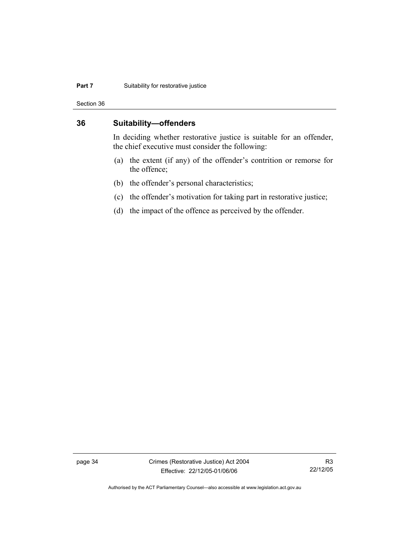#### **Part 7** Suitability for restorative justice

Section 36

#### **36 Suitability—offenders**

In deciding whether restorative justice is suitable for an offender, the chief executive must consider the following:

- (a) the extent (if any) of the offender's contrition or remorse for the offence;
- (b) the offender's personal characteristics;
- (c) the offender's motivation for taking part in restorative justice;
- (d) the impact of the offence as perceived by the offender.

page 34 Crimes (Restorative Justice) Act 2004 Effective: 22/12/05-01/06/06

R3 22/12/05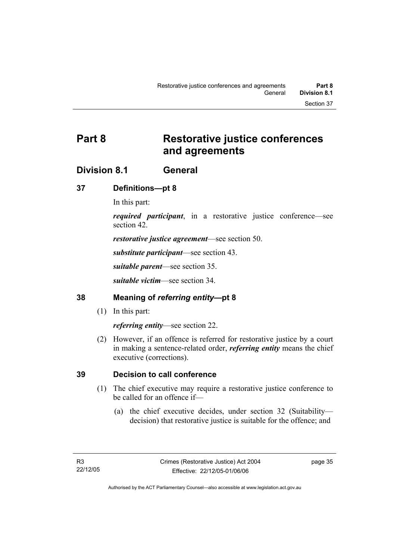# **Part 8 Restorative justice conferences and agreements**

# **Division 8.1 General**

## **37 Definitions—pt 8**

In this part:

*required participant*, in a restorative justice conference—see section 42.

*restorative justice agreement*—see section 50.

*substitute participant*—see section 43.

*suitable parent*—see section 35.

*suitable victim*—see section 34.

## **38 Meaning of** *referring entity***—pt 8**

(1) In this part:

*referring entity*—see section 22.

 (2) However, if an offence is referred for restorative justice by a court in making a sentence-related order, *referring entity* means the chief executive (corrections).

## **39 Decision to call conference**

- (1) The chief executive may require a restorative justice conference to be called for an offence if—
	- (a) the chief executive decides, under section 32 (Suitability decision) that restorative justice is suitable for the offence; and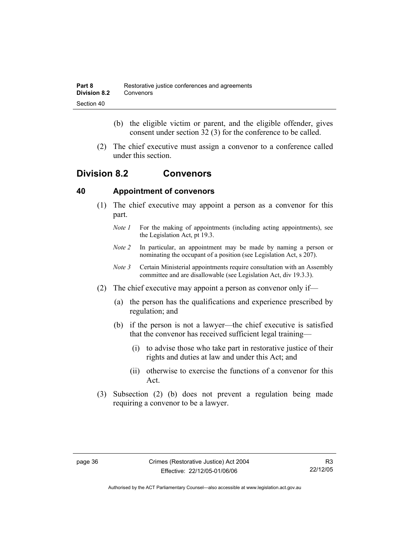- (b) the eligible victim or parent, and the eligible offender, gives consent under section 32 (3) for the conference to be called.
- (2) The chief executive must assign a convenor to a conference called under this section.

# **Division 8.2 Convenors**

#### **40 Appointment of convenors**

- (1) The chief executive may appoint a person as a convenor for this part.
	- *Note 1* For the making of appointments (including acting appointments), see the Legislation Act, pt 19.3.
	- *Note 2* In particular, an appointment may be made by naming a person or nominating the occupant of a position (see Legislation Act, s 207).
	- *Note 3* Certain Ministerial appointments require consultation with an Assembly committee and are disallowable (see Legislation Act, div 19.3.3).
- (2) The chief executive may appoint a person as convenor only if—
	- (a) the person has the qualifications and experience prescribed by regulation; and
	- (b) if the person is not a lawyer—the chief executive is satisfied that the convenor has received sufficient legal training—
		- (i) to advise those who take part in restorative justice of their rights and duties at law and under this Act; and
		- (ii) otherwise to exercise the functions of a convenor for this Act.
- (3) Subsection (2) (b) does not prevent a regulation being made requiring a convenor to be a lawyer.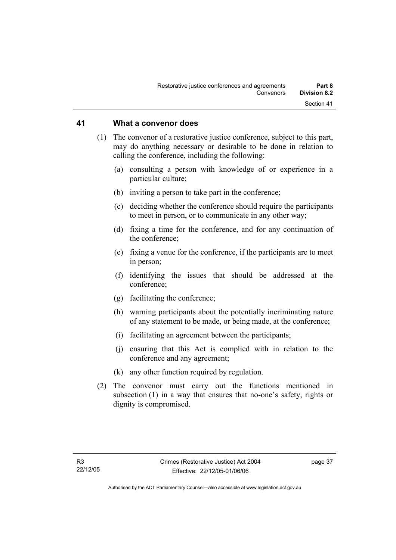#### **41 What a convenor does**

- (1) The convenor of a restorative justice conference, subject to this part, may do anything necessary or desirable to be done in relation to calling the conference, including the following:
	- (a) consulting a person with knowledge of or experience in a particular culture;
	- (b) inviting a person to take part in the conference;
	- (c) deciding whether the conference should require the participants to meet in person, or to communicate in any other way;
	- (d) fixing a time for the conference, and for any continuation of the conference;
	- (e) fixing a venue for the conference, if the participants are to meet in person;
	- (f) identifying the issues that should be addressed at the conference;
	- (g) facilitating the conference;
	- (h) warning participants about the potentially incriminating nature of any statement to be made, or being made, at the conference;
	- (i) facilitating an agreement between the participants;
	- (j) ensuring that this Act is complied with in relation to the conference and any agreement;
	- (k) any other function required by regulation.
- (2) The convenor must carry out the functions mentioned in subsection (1) in a way that ensures that no-one's safety, rights or dignity is compromised.

page 37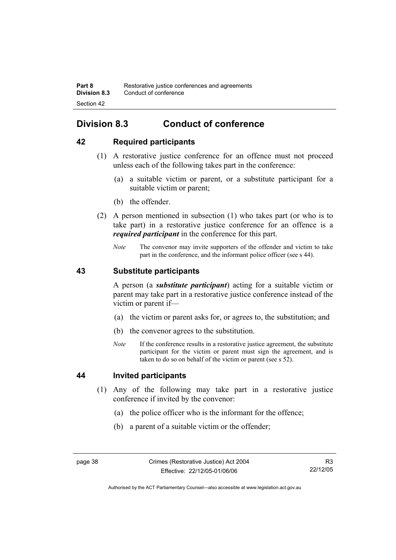# **Division 8.3 Conduct of conference**

### **42 Required participants**

- (1) A restorative justice conference for an offence must not proceed unless each of the following takes part in the conference:
	- (a) a suitable victim or parent, or a substitute participant for a suitable victim or parent;
	- (b) the offender.
- (2) A person mentioned in subsection (1) who takes part (or who is to take part) in a restorative justice conference for an offence is a *required participant* in the conference for this part.
	- *Note* The convenor may invite supporters of the offender and victim to take part in the conference, and the informant police officer (see s 44).

#### **43 Substitute participants**

A person (a *substitute participant*) acting for a suitable victim or parent may take part in a restorative justice conference instead of the victim or parent if—

- (a) the victim or parent asks for, or agrees to, the substitution; and
- (b) the convenor agrees to the substitution.
- *Note* If the conference results in a restorative justice agreement, the substitute participant for the victim or parent must sign the agreement, and is taken to do so on behalf of the victim or parent (see s 52).

#### **44 Invited participants**

- (1) Any of the following may take part in a restorative justice conference if invited by the convenor:
	- (a) the police officer who is the informant for the offence;
	- (b) a parent of a suitable victim or the offender;

Authorised by the ACT Parliamentary Counsel—also accessible at www.legislation.act.gov.au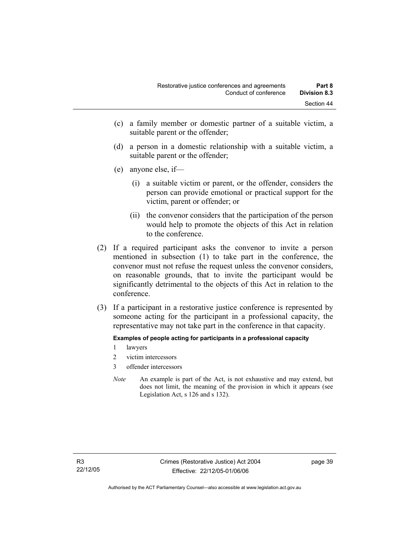- (c) a family member or domestic partner of a suitable victim, a suitable parent or the offender;
- (d) a person in a domestic relationship with a suitable victim, a suitable parent or the offender;
- (e) anyone else, if—
	- (i) a suitable victim or parent, or the offender, considers the person can provide emotional or practical support for the victim, parent or offender; or
	- (ii) the convenor considers that the participation of the person would help to promote the objects of this Act in relation to the conference.
- (2) If a required participant asks the convenor to invite a person mentioned in subsection (1) to take part in the conference, the convenor must not refuse the request unless the convenor considers, on reasonable grounds, that to invite the participant would be significantly detrimental to the objects of this Act in relation to the conference.
- (3) If a participant in a restorative justice conference is represented by someone acting for the participant in a professional capacity, the representative may not take part in the conference in that capacity.

**Examples of people acting for participants in a professional capacity** 

- 1 lawyers
- 2 victim intercessors
- 3 offender intercessors
- *Note* An example is part of the Act, is not exhaustive and may extend, but does not limit, the meaning of the provision in which it appears (see Legislation Act, s 126 and s 132).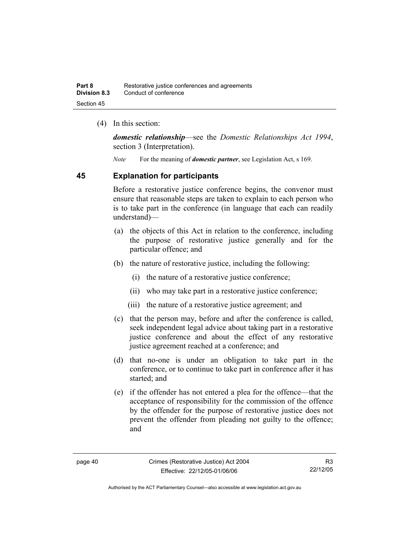(4) In this section:

*domestic relationship*—see the *Domestic Relationships Act 1994*, section 3 (Interpretation).

*Note* For the meaning of *domestic partner*, see Legislation Act, s 169.

#### **45 Explanation for participants**

Before a restorative justice conference begins, the convenor must ensure that reasonable steps are taken to explain to each person who is to take part in the conference (in language that each can readily understand)—

- (a) the objects of this Act in relation to the conference, including the purpose of restorative justice generally and for the particular offence; and
- (b) the nature of restorative justice, including the following:
	- (i) the nature of a restorative justice conference;
	- (ii) who may take part in a restorative justice conference;
	- (iii) the nature of a restorative justice agreement; and
- (c) that the person may, before and after the conference is called, seek independent legal advice about taking part in a restorative justice conference and about the effect of any restorative justice agreement reached at a conference; and
- (d) that no-one is under an obligation to take part in the conference, or to continue to take part in conference after it has started; and
- (e) if the offender has not entered a plea for the offence—that the acceptance of responsibility for the commission of the offence by the offender for the purpose of restorative justice does not prevent the offender from pleading not guilty to the offence; and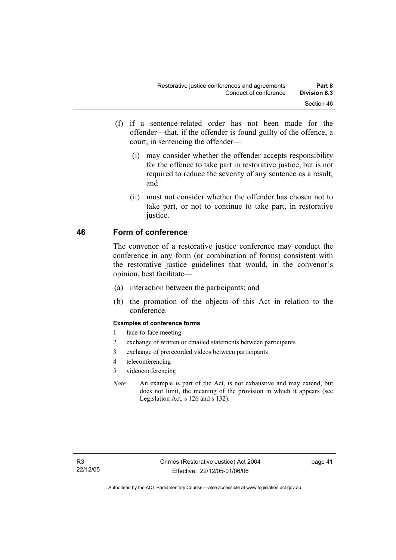- (f) if a sentence-related order has not been made for the offender—that, if the offender is found guilty of the offence, a court, in sentencing the offender—
	- (i) may consider whether the offender accepts responsibility for the offence to take part in restorative justice, but is not required to reduce the severity of any sentence as a result; and
	- (ii) must not consider whether the offender has chosen not to take part, or not to continue to take part, in restorative justice.

### **46 Form of conference**

The convenor of a restorative justice conference may conduct the conference in any form (or combination of forms) consistent with the restorative justice guidelines that would, in the convenor's opinion, best facilitate—

- (a) interaction between the participants; and
- (b) the promotion of the objects of this Act in relation to the conference.

#### **Examples of conference forms**

- 1 face-to-face meeting
- 2 exchange of written or emailed statements between participants
- 3 exchange of prerecorded videos between participants
- 4 teleconferencing
- 5 videoconferencing
- *Note* An example is part of the Act, is not exhaustive and may extend, but does not limit, the meaning of the provision in which it appears (see Legislation Act, s 126 and s 132).

page 41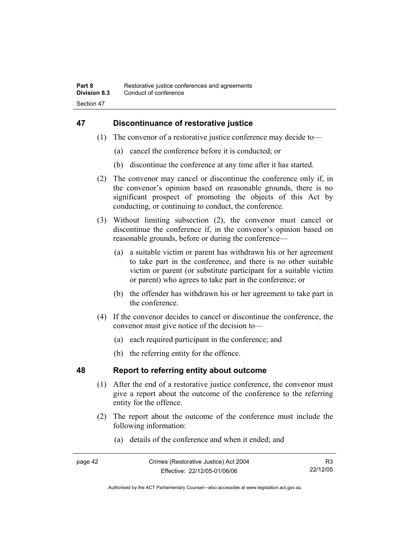## **47 Discontinuance of restorative justice**

- (1) The convenor of a restorative justice conference may decide to—
	- (a) cancel the conference before it is conducted; or
	- (b) discontinue the conference at any time after it has started.
- (2) The convenor may cancel or discontinue the conference only if, in the convenor's opinion based on reasonable grounds, there is no significant prospect of promoting the objects of this Act by conducting, or continuing to conduct, the conference.
- (3) Without limiting subsection (2), the convenor must cancel or discontinue the conference if, in the convenor's opinion based on reasonable grounds, before or during the conference—
	- (a) a suitable victim or parent has withdrawn his or her agreement to take part in the conference, and there is no other suitable victim or parent (or substitute participant for a suitable victim or parent) who agrees to take part in the conference; or
	- (b) the offender has withdrawn his or her agreement to take part in the conference.
- (4) If the convenor decides to cancel or discontinue the conference, the convenor must give notice of the decision to—
	- (a) each required participant in the conference; and
	- (b) the referring entity for the offence.

## **48 Report to referring entity about outcome**

- (1) After the end of a restorative justice conference, the convenor must give a report about the outcome of the conference to the referring entity for the offence.
- (2) The report about the outcome of the conference must include the following information:
	- (a) details of the conference and when it ended; and

| page 42 | Crimes (Restorative Justice) Act 2004 |          |
|---------|---------------------------------------|----------|
|         | Effective: 22/12/05-01/06/06          | 22/12/05 |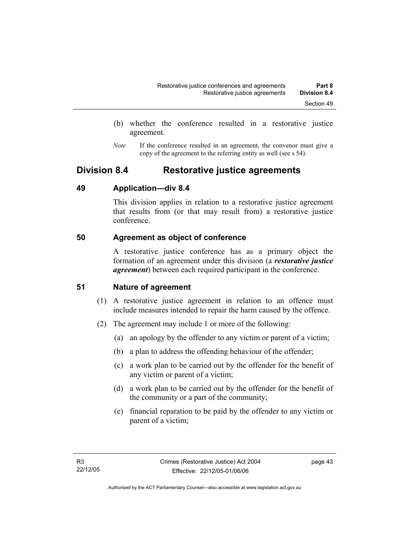- (b) whether the conference resulted in a restorative justice agreement.
- *Note* If the conference resulted in an agreement, the convenor must give a copy of the agreement to the referring entity as well (see s 54).

# **Division 8.4 Restorative justice agreements**

### **49 Application—div 8.4**

This division applies in relation to a restorative justice agreement that results from (or that may result from) a restorative justice conference.

## **50 Agreement as object of conference**

A restorative justice conference has as a primary object the formation of an agreement under this division (a *restorative justice agreement*) between each required participant in the conference.

## **51 Nature of agreement**

- (1) A restorative justice agreement in relation to an offence must include measures intended to repair the harm caused by the offence.
- (2) The agreement may include 1 or more of the following:
	- (a) an apology by the offender to any victim or parent of a victim;
	- (b) a plan to address the offending behaviour of the offender;
	- (c) a work plan to be carried out by the offender for the benefit of any victim or parent of a victim;
	- (d) a work plan to be carried out by the offender for the benefit of the community or a part of the community;
	- (e) financial reparation to be paid by the offender to any victim or parent of a victim;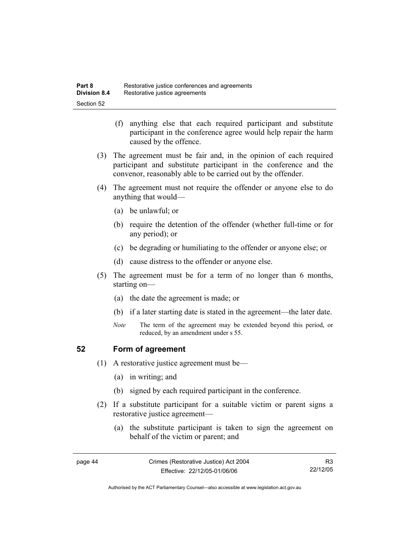- (f) anything else that each required participant and substitute participant in the conference agree would help repair the harm caused by the offence.
- (3) The agreement must be fair and, in the opinion of each required participant and substitute participant in the conference and the convenor, reasonably able to be carried out by the offender.
- (4) The agreement must not require the offender or anyone else to do anything that would—
	- (a) be unlawful; or
	- (b) require the detention of the offender (whether full-time or for any period); or
	- (c) be degrading or humiliating to the offender or anyone else; or
	- (d) cause distress to the offender or anyone else.
- (5) The agreement must be for a term of no longer than 6 months, starting on—
	- (a) the date the agreement is made; or
	- (b) if a later starting date is stated in the agreement—the later date.
	- *Note* The term of the agreement may be extended beyond this period, or reduced, by an amendment under s 55.

#### **52 Form of agreement**

- (1) A restorative justice agreement must be—
	- (a) in writing; and
	- (b) signed by each required participant in the conference.
- (2) If a substitute participant for a suitable victim or parent signs a restorative justice agreement—
	- (a) the substitute participant is taken to sign the agreement on behalf of the victim or parent; and

Authorised by the ACT Parliamentary Counsel—also accessible at www.legislation.act.gov.au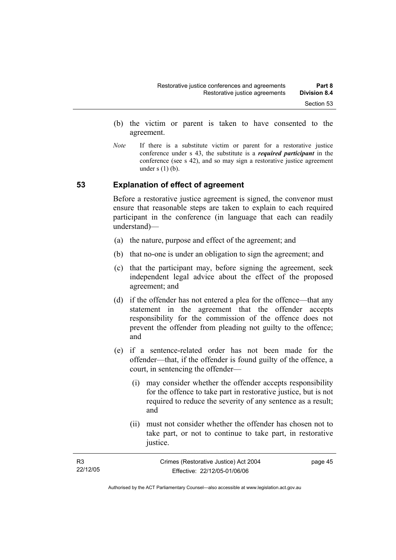- (b) the victim or parent is taken to have consented to the agreement.
- *Note* If there is a substitute victim or parent for a restorative justice conference under s 43, the substitute is a *required participant* in the conference (see s 42), and so may sign a restorative justice agreement under  $s(1)(b)$ .

#### **53 Explanation of effect of agreement**

Before a restorative justice agreement is signed, the convenor must ensure that reasonable steps are taken to explain to each required participant in the conference (in language that each can readily understand)—

- (a) the nature, purpose and effect of the agreement; and
- (b) that no-one is under an obligation to sign the agreement; and
- (c) that the participant may, before signing the agreement, seek independent legal advice about the effect of the proposed agreement; and
- (d) if the offender has not entered a plea for the offence—that any statement in the agreement that the offender accepts responsibility for the commission of the offence does not prevent the offender from pleading not guilty to the offence; and
- (e) if a sentence-related order has not been made for the offender—that, if the offender is found guilty of the offence, a court, in sentencing the offender—
	- (i) may consider whether the offender accepts responsibility for the offence to take part in restorative justice, but is not required to reduce the severity of any sentence as a result; and
	- (ii) must not consider whether the offender has chosen not to take part, or not to continue to take part, in restorative justice.

| R3       | Crimes (Restorative Justice) Act 2004 | page 45 |
|----------|---------------------------------------|---------|
| 22/12/05 | Effective: 22/12/05-01/06/06          |         |
|          |                                       |         |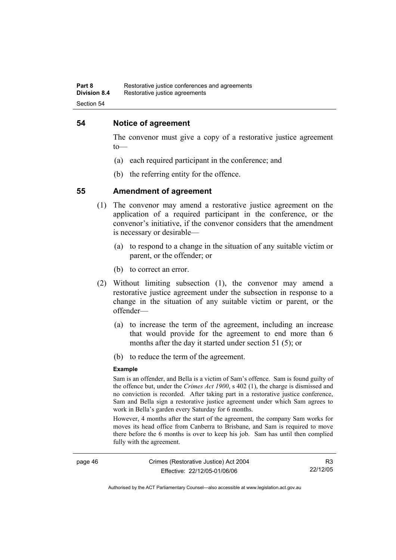#### **54 Notice of agreement**

The convenor must give a copy of a restorative justice agreement to—

- (a) each required participant in the conference; and
- (b) the referring entity for the offence.

#### **55 Amendment of agreement**

- (1) The convenor may amend a restorative justice agreement on the application of a required participant in the conference, or the convenor's initiative, if the convenor considers that the amendment is necessary or desirable—
	- (a) to respond to a change in the situation of any suitable victim or parent, or the offender; or
	- (b) to correct an error.
- (2) Without limiting subsection (1), the convenor may amend a restorative justice agreement under the subsection in response to a change in the situation of any suitable victim or parent, or the offender—
	- (a) to increase the term of the agreement, including an increase that would provide for the agreement to end more than 6 months after the day it started under section 51 (5); or
	- (b) to reduce the term of the agreement.

#### **Example**

Sam is an offender, and Bella is a victim of Sam's offence. Sam is found guilty of the offence but, under the *Crimes Act 1900*, s 402 (1), the charge is dismissed and no conviction is recorded. After taking part in a restorative justice conference, Sam and Bella sign a restorative justice agreement under which Sam agrees to work in Bella's garden every Saturday for 6 months.

However, 4 months after the start of the agreement, the company Sam works for moves its head office from Canberra to Brisbane, and Sam is required to move there before the 6 months is over to keep his job. Sam has until then complied fully with the agreement.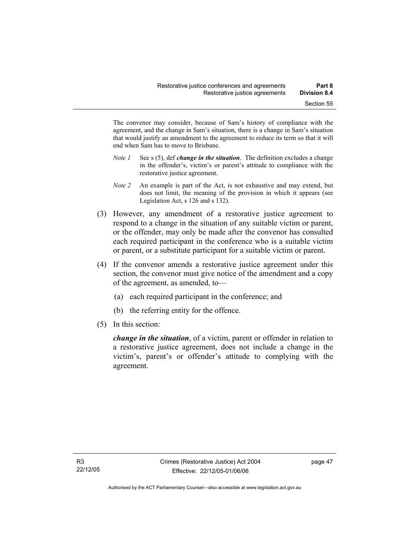The convenor may consider, because of Sam's history of compliance with the agreement, and the change in Sam's situation, there is a change in Sam's situation that would justify an amendment to the agreement to reduce its term so that it will end when Sam has to move to Brisbane.

- *Note 1* See s (5), def *change in the situation*. The definition excludes a change in the offender's, victim's or parent's attitude to compliance with the restorative justice agreement.
- *Note 2* An example is part of the Act, is not exhaustive and may extend, but does not limit, the meaning of the provision in which it appears (see Legislation Act, s 126 and s 132).
- (3) However, any amendment of a restorative justice agreement to respond to a change in the situation of any suitable victim or parent, or the offender, may only be made after the convenor has consulted each required participant in the conference who is a suitable victim or parent, or a substitute participant for a suitable victim or parent.
- (4) If the convenor amends a restorative justice agreement under this section, the convenor must give notice of the amendment and a copy of the agreement, as amended, to—
	- (a) each required participant in the conference; and
	- (b) the referring entity for the offence.
- (5) In this section:

*change in the situation*, of a victim, parent or offender in relation to a restorative justice agreement, does not include a change in the victim's, parent's or offender's attitude to complying with the agreement.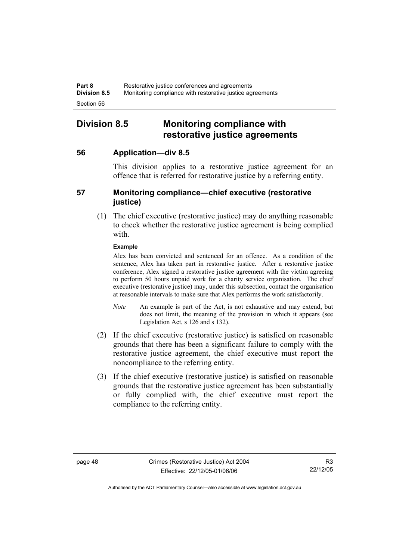# **Division 8.5 Monitoring compliance with restorative justice agreements**

## **56 Application—div 8.5**

This division applies to a restorative justice agreement for an offence that is referred for restorative justice by a referring entity.

## **57 Monitoring compliance—chief executive (restorative justice)**

 (1) The chief executive (restorative justice) may do anything reasonable to check whether the restorative justice agreement is being complied with.

#### **Example**

Alex has been convicted and sentenced for an offence. As a condition of the sentence, Alex has taken part in restorative justice. After a restorative justice conference, Alex signed a restorative justice agreement with the victim agreeing to perform 50 hours unpaid work for a charity service organisation. The chief executive (restorative justice) may, under this subsection, contact the organisation at reasonable intervals to make sure that Alex performs the work satisfactorily.

- *Note* An example is part of the Act, is not exhaustive and may extend, but does not limit, the meaning of the provision in which it appears (see Legislation Act, s 126 and s 132).
- (2) If the chief executive (restorative justice) is satisfied on reasonable grounds that there has been a significant failure to comply with the restorative justice agreement, the chief executive must report the noncompliance to the referring entity.
- (3) If the chief executive (restorative justice) is satisfied on reasonable grounds that the restorative justice agreement has been substantially or fully complied with, the chief executive must report the compliance to the referring entity.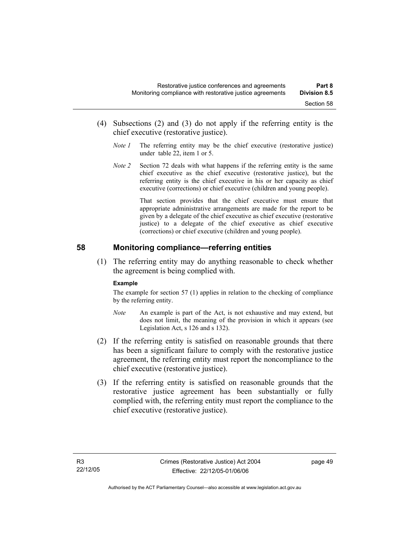- (4) Subsections (2) and (3) do not apply if the referring entity is the chief executive (restorative justice).
	- *Note 1* The referring entity may be the chief executive (restorative justice) under table 22, item 1 or 5.
	- *Note 2* Section 72 deals with what happens if the referring entity is the same chief executive as the chief executive (restorative justice), but the referring entity is the chief executive in his or her capacity as chief executive (corrections) or chief executive (children and young people).

 That section provides that the chief executive must ensure that appropriate administrative arrangements are made for the report to be given by a delegate of the chief executive as chief executive (restorative justice) to a delegate of the chief executive as chief executive (corrections) or chief executive (children and young people).

### **58 Monitoring compliance—referring entities**

 (1) The referring entity may do anything reasonable to check whether the agreement is being complied with.

#### **Example**

The example for section 57 (1) applies in relation to the checking of compliance by the referring entity.

- *Note* An example is part of the Act, is not exhaustive and may extend, but does not limit, the meaning of the provision in which it appears (see Legislation Act, s 126 and s 132).
- (2) If the referring entity is satisfied on reasonable grounds that there has been a significant failure to comply with the restorative justice agreement, the referring entity must report the noncompliance to the chief executive (restorative justice).
- (3) If the referring entity is satisfied on reasonable grounds that the restorative justice agreement has been substantially or fully complied with, the referring entity must report the compliance to the chief executive (restorative justice).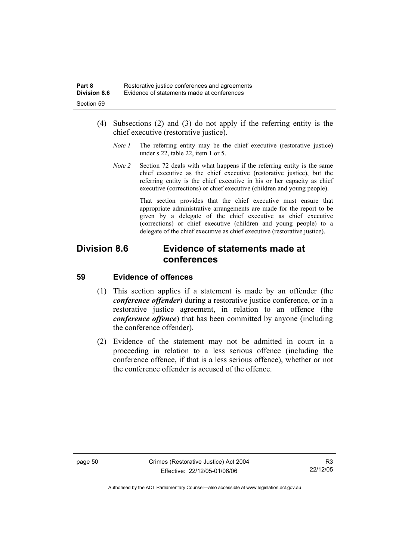- (4) Subsections (2) and (3) do not apply if the referring entity is the chief executive (restorative justice).
	- *Note 1* The referring entity may be the chief executive (restorative justice) under s 22, table 22, item 1 or 5.
	- *Note 2* Section 72 deals with what happens if the referring entity is the same chief executive as the chief executive (restorative justice), but the referring entity is the chief executive in his or her capacity as chief executive (corrections) or chief executive (children and young people).

 That section provides that the chief executive must ensure that appropriate administrative arrangements are made for the report to be given by a delegate of the chief executive as chief executive (corrections) or chief executive (children and young people) to a delegate of the chief executive as chief executive (restorative justice).

## **Division 8.6 Evidence of statements made at conferences**

### **59 Evidence of offences**

- (1) This section applies if a statement is made by an offender (the *conference offender*) during a restorative justice conference, or in a restorative justice agreement, in relation to an offence (the *conference offence*) that has been committed by anyone (including the conference offender).
- (2) Evidence of the statement may not be admitted in court in a proceeding in relation to a less serious offence (including the conference offence, if that is a less serious offence), whether or not the conference offender is accused of the offence.

page 50 Crimes (Restorative Justice) Act 2004 Effective: 22/12/05-01/06/06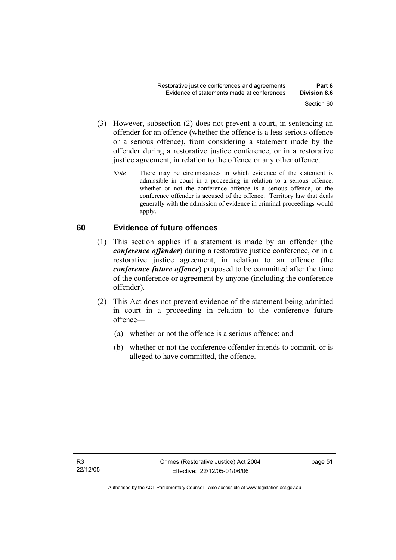- (3) However, subsection (2) does not prevent a court, in sentencing an offender for an offence (whether the offence is a less serious offence or a serious offence), from considering a statement made by the offender during a restorative justice conference, or in a restorative justice agreement, in relation to the offence or any other offence.
	- *Note* There may be circumstances in which evidence of the statement is admissible in court in a proceeding in relation to a serious offence, whether or not the conference offence is a serious offence, or the conference offender is accused of the offence. Territory law that deals generally with the admission of evidence in criminal proceedings would apply.

## **60 Evidence of future offences**

- (1) This section applies if a statement is made by an offender (the *conference offender*) during a restorative justice conference, or in a restorative justice agreement, in relation to an offence (the *conference future offence*) proposed to be committed after the time of the conference or agreement by anyone (including the conference offender).
- (2) This Act does not prevent evidence of the statement being admitted in court in a proceeding in relation to the conference future offence—
	- (a) whether or not the offence is a serious offence; and
	- (b) whether or not the conference offender intends to commit, or is alleged to have committed, the offence.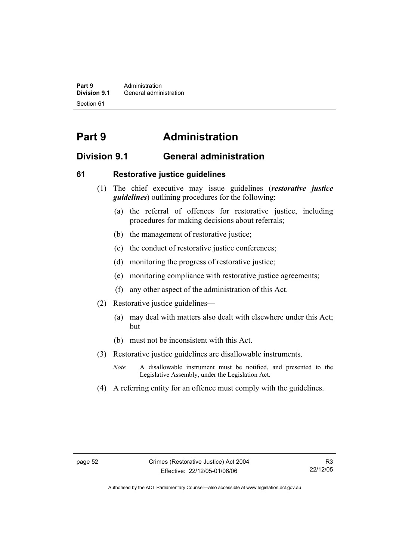**Part 9 Administration**<br>**Division 9.1 General adminity General administration** Section 61

# **Part 9 Administration**

## **Division 9.1 General administration**

### **61 Restorative justice guidelines**

- (1) The chief executive may issue guidelines (*restorative justice guidelines*) outlining procedures for the following:
	- (a) the referral of offences for restorative justice, including procedures for making decisions about referrals;
	- (b) the management of restorative justice;
	- (c) the conduct of restorative justice conferences;
	- (d) monitoring the progress of restorative justice;
	- (e) monitoring compliance with restorative justice agreements;
	- (f) any other aspect of the administration of this Act.
- (2) Restorative justice guidelines—
	- (a) may deal with matters also dealt with elsewhere under this Act; but
	- (b) must not be inconsistent with this Act.
- (3) Restorative justice guidelines are disallowable instruments.
	- *Note* A disallowable instrument must be notified, and presented to the Legislative Assembly, under the Legislation Act.
- (4) A referring entity for an offence must comply with the guidelines.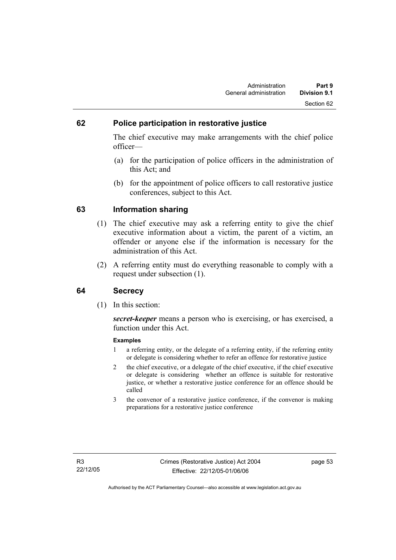### **62 Police participation in restorative justice**

The chief executive may make arrangements with the chief police officer—

- (a) for the participation of police officers in the administration of this Act; and
- (b) for the appointment of police officers to call restorative justice conferences, subject to this Act.

#### **63 Information sharing**

- (1) The chief executive may ask a referring entity to give the chief executive information about a victim, the parent of a victim, an offender or anyone else if the information is necessary for the administration of this Act.
- (2) A referring entity must do everything reasonable to comply with a request under subsection (1).

#### **64 Secrecy**

(1) In this section:

*secret-keeper* means a person who is exercising, or has exercised, a function under this Act.

#### **Examples**

- 1 a referring entity, or the delegate of a referring entity, if the referring entity or delegate is considering whether to refer an offence for restorative justice
- 2 the chief executive, or a delegate of the chief executive, if the chief executive or delegate is considering whether an offence is suitable for restorative justice, or whether a restorative justice conference for an offence should be called
- 3 the convenor of a restorative justice conference, if the convenor is making preparations for a restorative justice conference

page 53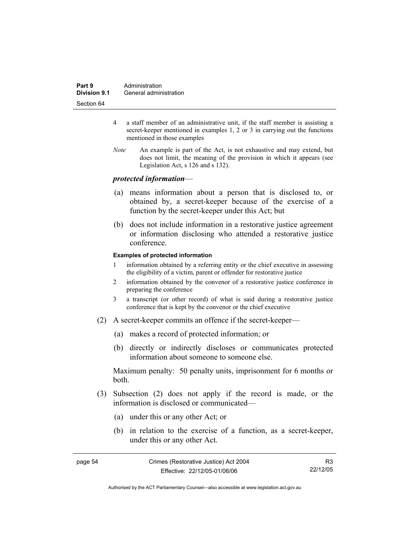| Part 9       | Administration         |  |
|--------------|------------------------|--|
| Division 9.1 | General administration |  |
| Section 64   |                        |  |

- 4 a staff member of an administrative unit, if the staff member is assisting a secret-keeper mentioned in examples 1, 2 or 3 in carrying out the functions mentioned in those examples
- *Note* An example is part of the Act, is not exhaustive and may extend, but does not limit, the meaning of the provision in which it appears (see Legislation Act, s 126 and s 132).

#### *protected information*—

- (a) means information about a person that is disclosed to, or obtained by, a secret-keeper because of the exercise of a function by the secret-keeper under this Act; but
- (b) does not include information in a restorative justice agreement or information disclosing who attended a restorative justice conference.

#### **Examples of protected information**

- 1 information obtained by a referring entity or the chief executive in assessing the eligibility of a victim, parent or offender for restorative justice
- 2 information obtained by the convenor of a restorative justice conference in preparing the conference
- 3 a transcript (or other record) of what is said during a restorative justice conference that is kept by the convenor or the chief executive
- (2) A secret-keeper commits an offence if the secret-keeper—
	- (a) makes a record of protected information; or
	- (b) directly or indirectly discloses or communicates protected information about someone to someone else.

Maximum penalty: 50 penalty units, imprisonment for 6 months or both.

- (3) Subsection (2) does not apply if the record is made, or the information is disclosed or communicated—
	- (a) under this or any other Act; or
	- (b) in relation to the exercise of a function, as a secret-keeper, under this or any other Act.

| page 54 |  |
|---------|--|
|---------|--|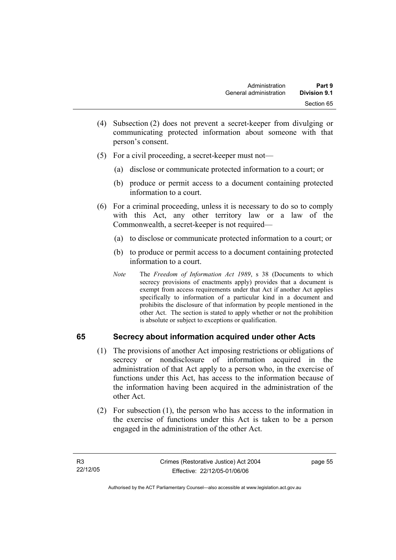- (4) Subsection (2) does not prevent a secret-keeper from divulging or communicating protected information about someone with that person's consent.
- (5) For a civil proceeding, a secret-keeper must not—
	- (a) disclose or communicate protected information to a court; or
	- (b) produce or permit access to a document containing protected information to a court.
- (6) For a criminal proceeding, unless it is necessary to do so to comply with this Act, any other territory law or a law of the Commonwealth, a secret-keeper is not required—
	- (a) to disclose or communicate protected information to a court; or
	- (b) to produce or permit access to a document containing protected information to a court.
	- *Note* The *Freedom of Information Act 1989*, s 38 (Documents to which secrecy provisions of enactments apply) provides that a document is exempt from access requirements under that Act if another Act applies specifically to information of a particular kind in a document and prohibits the disclosure of that information by people mentioned in the other Act. The section is stated to apply whether or not the prohibition is absolute or subject to exceptions or qualification.

## **65 Secrecy about information acquired under other Acts**

- (1) The provisions of another Act imposing restrictions or obligations of secrecy or nondisclosure of information acquired in the administration of that Act apply to a person who, in the exercise of functions under this Act, has access to the information because of the information having been acquired in the administration of the other Act.
- (2) For subsection (1), the person who has access to the information in the exercise of functions under this Act is taken to be a person engaged in the administration of the other Act.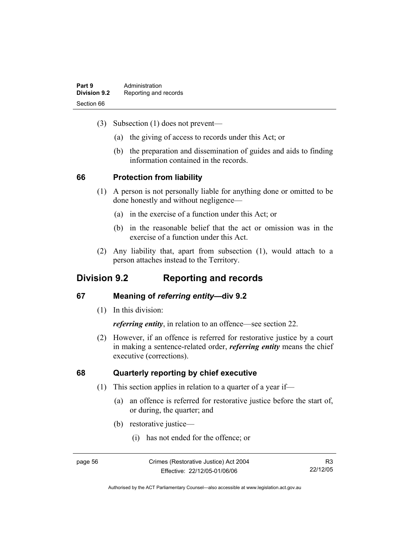| Part 9              | Administration        |
|---------------------|-----------------------|
| <b>Division 9.2</b> | Reporting and records |
| Section 66          |                       |

- (3) Subsection (1) does not prevent—
	- (a) the giving of access to records under this Act; or
	- (b) the preparation and dissemination of guides and aids to finding information contained in the records.

#### **66 Protection from liability**

- (1) A person is not personally liable for anything done or omitted to be done honestly and without negligence—
	- (a) in the exercise of a function under this Act; or
	- (b) in the reasonable belief that the act or omission was in the exercise of a function under this Act.
- (2) Any liability that, apart from subsection (1), would attach to a person attaches instead to the Territory.

## **Division 9.2 Reporting and records**

#### **67 Meaning of** *referring entity—***div 9.2**

(1) In this division:

*referring entity*, in relation to an offence—see section 22.

 (2) However, if an offence is referred for restorative justice by a court in making a sentence-related order, *referring entity* means the chief executive (corrections).

#### **68 Quarterly reporting by chief executive**

- (1) This section applies in relation to a quarter of a year if—
	- (a) an offence is referred for restorative justice before the start of, or during, the quarter; and
	- (b) restorative justice—
		- (i) has not ended for the offence; or

page 56 Crimes (Restorative Justice) Act 2004 Effective: 22/12/05-01/06/06

R3 22/12/05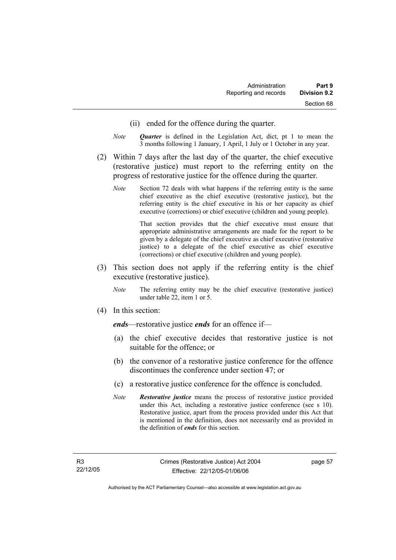- (ii) ended for the offence during the quarter.
- *Note Quarter* is defined in the Legislation Act, dict, pt 1 to mean the 3 months following 1 January, 1 April, 1 July or 1 October in any year.
- (2) Within 7 days after the last day of the quarter, the chief executive (restorative justice) must report to the referring entity on the progress of restorative justice for the offence during the quarter.
	- *Note* Section 72 deals with what happens if the referring entity is the same chief executive as the chief executive (restorative justice), but the referring entity is the chief executive in his or her capacity as chief executive (corrections) or chief executive (children and young people).

 That section provides that the chief executive must ensure that appropriate administrative arrangements are made for the report to be given by a delegate of the chief executive as chief executive (restorative justice) to a delegate of the chief executive as chief executive (corrections) or chief executive (children and young people).

- (3) This section does not apply if the referring entity is the chief executive (restorative justice).
	- *Note* The referring entity may be the chief executive (restorative justice) under table 22, item 1 or 5.
- (4) In this section:

*ends*—restorative justice *ends* for an offence if—

- (a) the chief executive decides that restorative justice is not suitable for the offence; or
- (b) the convenor of a restorative justice conference for the offence discontinues the conference under section 47; or
- (c) a restorative justice conference for the offence is concluded.
- *Note Restorative justice* means the process of restorative justice provided under this Act, including a restorative justice conference (see s 10). Restorative justice, apart from the process provided under this Act that is mentioned in the definition, does not necessarily end as provided in the definition of *ends* for this section.

page 57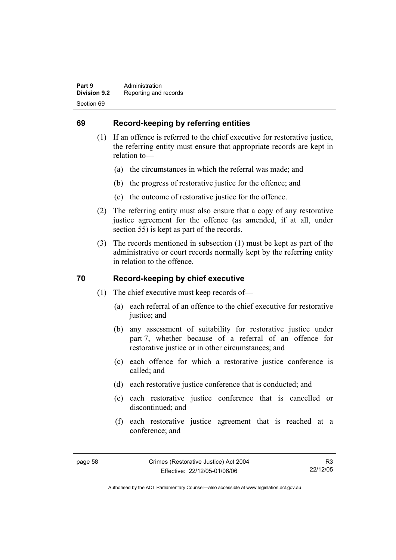## **69 Record-keeping by referring entities**

- (1) If an offence is referred to the chief executive for restorative justice, the referring entity must ensure that appropriate records are kept in relation to—
	- (a) the circumstances in which the referral was made; and
	- (b) the progress of restorative justice for the offence; and
	- (c) the outcome of restorative justice for the offence.
- (2) The referring entity must also ensure that a copy of any restorative justice agreement for the offence (as amended, if at all, under section 55) is kept as part of the records.
- (3) The records mentioned in subsection (1) must be kept as part of the administrative or court records normally kept by the referring entity in relation to the offence.

### **70 Record-keeping by chief executive**

- (1) The chief executive must keep records of—
	- (a) each referral of an offence to the chief executive for restorative justice; and
	- (b) any assessment of suitability for restorative justice under part 7, whether because of a referral of an offence for restorative justice or in other circumstances; and
	- (c) each offence for which a restorative justice conference is called; and
	- (d) each restorative justice conference that is conducted; and
	- (e) each restorative justice conference that is cancelled or discontinued; and
	- (f) each restorative justice agreement that is reached at a conference; and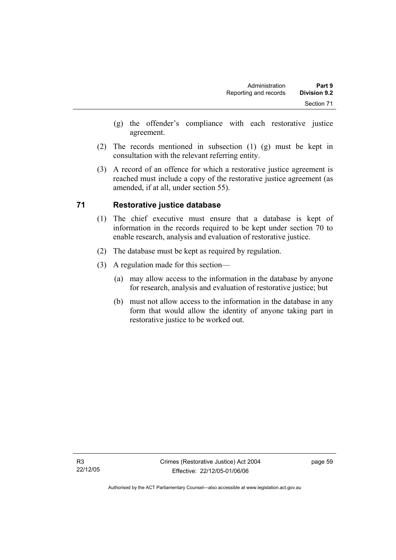- (g) the offender's compliance with each restorative justice agreement.
- (2) The records mentioned in subsection (1) (g) must be kept in consultation with the relevant referring entity.
- (3) A record of an offence for which a restorative justice agreement is reached must include a copy of the restorative justice agreement (as amended, if at all, under section 55).

## **71 Restorative justice database**

- (1) The chief executive must ensure that a database is kept of information in the records required to be kept under section 70 to enable research, analysis and evaluation of restorative justice.
- (2) The database must be kept as required by regulation.
- (3) A regulation made for this section—
	- (a) may allow access to the information in the database by anyone for research, analysis and evaluation of restorative justice; but
	- (b) must not allow access to the information in the database in any form that would allow the identity of anyone taking part in restorative justice to be worked out.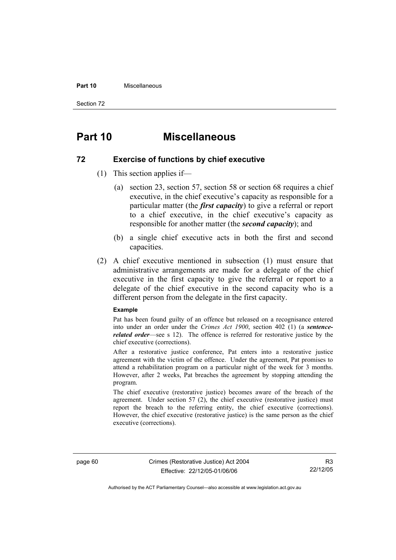#### **Part 10** Miscellaneous

Section 72

# **Part 10 Miscellaneous**

#### **72 Exercise of functions by chief executive**

- (1) This section applies if—
	- (a) section 23, section 57, section 58 or section 68 requires a chief executive, in the chief executive's capacity as responsible for a particular matter (the *first capacity*) to give a referral or report to a chief executive, in the chief executive's capacity as responsible for another matter (the *second capacity*); and
	- (b) a single chief executive acts in both the first and second capacities.
- (2) A chief executive mentioned in subsection (1) must ensure that administrative arrangements are made for a delegate of the chief executive in the first capacity to give the referral or report to a delegate of the chief executive in the second capacity who is a different person from the delegate in the first capacity.

#### **Example**

Pat has been found guilty of an offence but released on a recognisance entered into under an order under the *Crimes Act 1900*, section 402 (1) (a *sentencerelated order*—see s 12). The offence is referred for restorative justice by the chief executive (corrections).

After a restorative justice conference, Pat enters into a restorative justice agreement with the victim of the offence. Under the agreement, Pat promises to attend a rehabilitation program on a particular night of the week for 3 months. However, after 2 weeks, Pat breaches the agreement by stopping attending the program.

The chief executive (restorative justice) becomes aware of the breach of the agreement. Under section 57 (2), the chief executive (restorative justice) must report the breach to the referring entity, the chief executive (corrections). However, the chief executive (restorative justice) is the same person as the chief executive (corrections).

page 60 Crimes (Restorative Justice) Act 2004 Effective: 22/12/05-01/06/06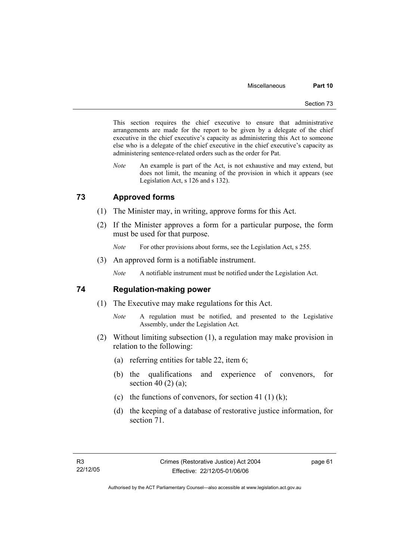This section requires the chief executive to ensure that administrative arrangements are made for the report to be given by a delegate of the chief executive in the chief executive's capacity as administering this Act to someone else who is a delegate of the chief executive in the chief executive's capacity as administering sentence-related orders such as the order for Pat.

*Note* An example is part of the Act, is not exhaustive and may extend, but does not limit, the meaning of the provision in which it appears (see Legislation Act, s 126 and s 132).

#### **73 Approved forms**

- (1) The Minister may, in writing, approve forms for this Act.
- (2) If the Minister approves a form for a particular purpose, the form must be used for that purpose.

*Note* For other provisions about forms, see the Legislation Act, s 255.

(3) An approved form is a notifiable instrument.

*Note* A notifiable instrument must be notified under the Legislation Act.

#### **74 Regulation-making power**

- (1) The Executive may make regulations for this Act.
	- *Note* A regulation must be notified, and presented to the Legislative Assembly, under the Legislation Act.
- (2) Without limiting subsection (1), a regulation may make provision in relation to the following:
	- (a) referring entities for table 22, item 6;
	- (b) the qualifications and experience of convenors, for section 40 $(2)$  $(a)$ ;
	- (c) the functions of convenors, for section 41 (1) (k);
	- (d) the keeping of a database of restorative justice information, for section 71.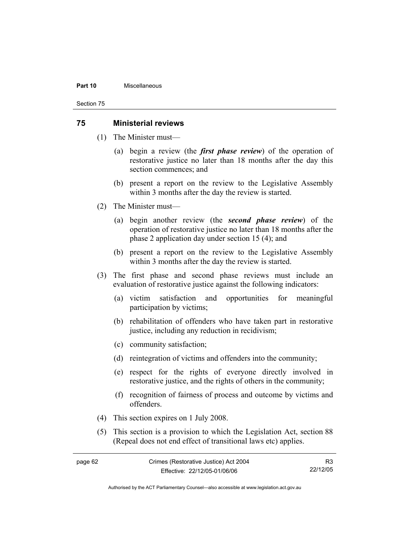#### **Part 10** Miscellaneous

Section 75

#### **75 Ministerial reviews**

- (1) The Minister must—
	- (a) begin a review (the *first phase review*) of the operation of restorative justice no later than 18 months after the day this section commences; and
	- (b) present a report on the review to the Legislative Assembly within 3 months after the day the review is started.
- (2) The Minister must—
	- (a) begin another review (the *second phase review*) of the operation of restorative justice no later than 18 months after the phase 2 application day under section 15 (4); and
	- (b) present a report on the review to the Legislative Assembly within 3 months after the day the review is started.
- (3) The first phase and second phase reviews must include an evaluation of restorative justice against the following indicators:
	- (a) victim satisfaction and opportunities for meaningful participation by victims;
	- (b) rehabilitation of offenders who have taken part in restorative justice, including any reduction in recidivism;
	- (c) community satisfaction;
	- (d) reintegration of victims and offenders into the community;
	- (e) respect for the rights of everyone directly involved in restorative justice, and the rights of others in the community;
	- (f) recognition of fairness of process and outcome by victims and offenders.
- (4) This section expires on 1 July 2008.
- (5) This section is a provision to which the Legislation Act, section 88 (Repeal does not end effect of transitional laws etc) applies.

| page 62 | Crimes (Restorative Justice) Act 2004 | R3       |
|---------|---------------------------------------|----------|
|         | Effective: 22/12/05-01/06/06          | 22/12/05 |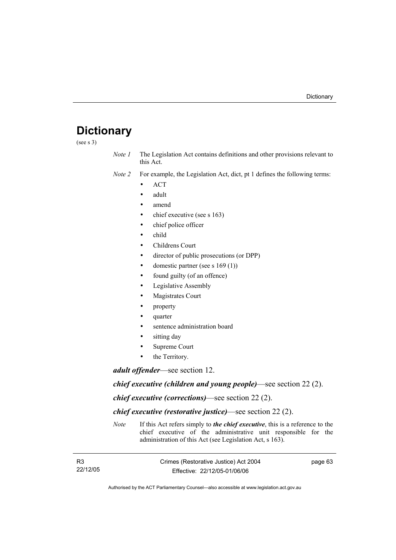# **Dictionary**

(see s 3)

- *Note 1* The Legislation Act contains definitions and other provisions relevant to this Act.
- *Note 2* For example, the Legislation Act, dict, pt 1 defines the following terms:
	- ACT
	- adult
	- amend
	- chief executive (see s 163)
	- chief police officer
	- child
	- Childrens Court
	- director of public prosecutions (or DPP)
	- domestic partner (see s 169 (1))
	- found guilty (of an offence)
	- Legislative Assembly
	- Magistrates Court
	- property
	- quarter
	- sentence administration board
	- sitting day
	- Supreme Court
	- the Territory.

*adult offender*—see section 12.

*chief executive (children and young people)*—see section 22 (2).

*chief executive (corrections)*—see section 22 (2).

*chief executive (restorative justice)*—see section 22 (2).

*Note* If this Act refers simply to *the chief executive*, this is a reference to the chief executive of the administrative unit responsible for the administration of this Act (see Legislation Act, s 163).

| <b>R3</b> | Crimes (Restorative Justice) Act 2004 | page 63 |
|-----------|---------------------------------------|---------|
| 22/12/05  | Effective: 22/12/05-01/06/06          |         |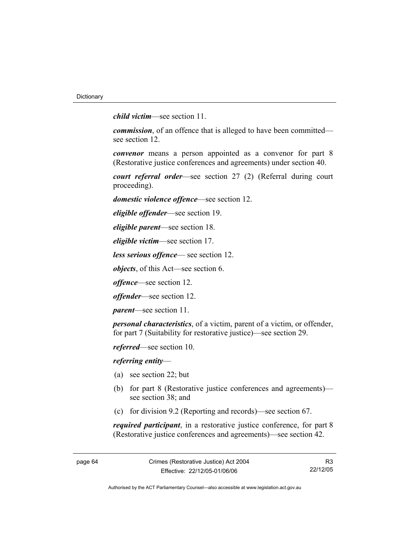*child victim*—see section 11.

*commission*, of an offence that is alleged to have been committed see section 12.

*convenor* means a person appointed as a convenor for part 8 (Restorative justice conferences and agreements) under section 40.

*court referral order*—see section 27 (2) (Referral during court proceeding).

*domestic violence offence*—see section 12.

*eligible offender*—see section 19.

*eligible parent*—see section 18.

*eligible victim*—see section 17.

*less serious offence*— see section 12.

*objects*, of this Act—see section 6.

*offence*—see section 12.

*offender*—see section 12.

*parent*—see section 11.

*personal characteristics*, of a victim, parent of a victim, or offender, for part 7 (Suitability for restorative justice)—see section 29.

*referred*—see section 10.

*referring entity*—

- (a) see section 22; but
- (b) for part 8 (Restorative justice conferences and agreements) see section 38; and
- (c) for division 9.2 (Reporting and records)—see section 67.

*required participant*, in a restorative justice conference, for part 8 (Restorative justice conferences and agreements)—see section 42.

R3 22/12/05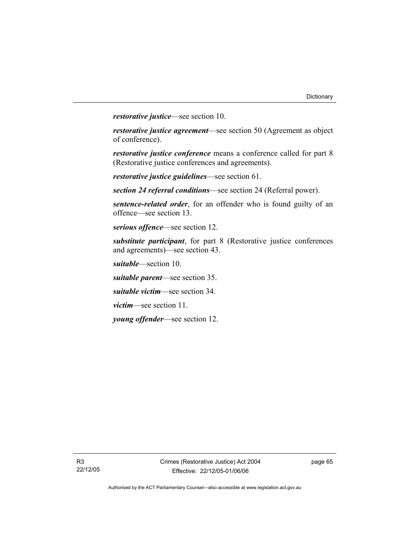*restorative justice*—see section 10.

*restorative justice agreement*—see section 50 (Agreement as object of conference).

*restorative justice conference* means a conference called for part 8 (Restorative justice conferences and agreements).

*restorative justice guidelines*—see section 61.

*section 24 referral conditions*—see section 24 (Referral power).

*sentence-related order*, for an offender who is found guilty of an offence—see section 13.

*serious offence*—see section 12.

*substitute participant*, for part 8 (Restorative justice conferences and agreements)—see section 43.

*suitable*—section 10.

*suitable parent*—see section 35.

*suitable victim*—see section 34.

*victim*—see section 11.

*young offender*—see section 12.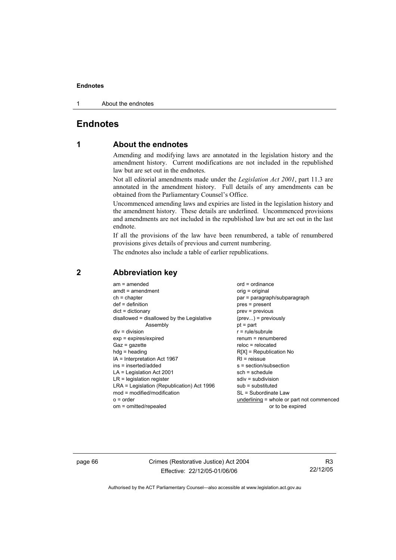#### **Endnotes**

1 About the endnotes

## **Endnotes**

# **1 About the endnotes**

Amending and modifying laws are annotated in the legislation history and the amendment history. Current modifications are not included in the republished law but are set out in the endnotes.

Not all editorial amendments made under the *Legislation Act 2001*, part 11.3 are annotated in the amendment history. Full details of any amendments can be obtained from the Parliamentary Counsel's Office.

Uncommenced amending laws and expiries are listed in the legislation history and the amendment history. These details are underlined. Uncommenced provisions and amendments are not included in the republished law but are set out in the last endnote.

If all the provisions of the law have been renumbered, a table of renumbered provisions gives details of previous and current numbering.

The endnotes also include a table of earlier republications.

| $am = amended$                             | $ord = ordinance$                         |
|--------------------------------------------|-------------------------------------------|
| $amdt = amendment$                         |                                           |
|                                            | $orig = original$                         |
| $ch = chapter$                             | par = paragraph/subparagraph              |
| $def = definition$                         | $pres = present$                          |
| $dict = dictionary$                        | $prev = previous$                         |
| disallowed = disallowed by the Legislative | $(\text{prev}) = \text{previously}$       |
| Assembly                                   | $pt = part$                               |
| $div = division$                           | $r = rule/subrule$                        |
| $exp = expires/expired$                    | renum = renumbered                        |
| $Gaz = gazette$                            | $reloc = relocated$                       |
| $hdg =$ heading                            | $R[X]$ = Republication No                 |
| $IA = Interpretation Act 1967$             | $RI =$ reissue                            |
| ins = inserted/added                       | $s = section/subsection$                  |
| $LA =$ Legislation Act 2001                | $sch = schedule$                          |
| $LR =$ legislation register                | $sdiv = subdivision$                      |
| LRA = Legislation (Republication) Act 1996 | $sub =$ substituted                       |
| $mod = modified/modification$              | SL = Subordinate Law                      |
| $o = order$                                | underlining = whole or part not commenced |
| om = omitted/repealed                      | or to be expired                          |
|                                            |                                           |

### **2 Abbreviation key**

page 66 Crimes (Restorative Justice) Act 2004 Effective: 22/12/05-01/06/06

R3 22/12/05

Authorised by the ACT Parliamentary Counsel—also accessible at www.legislation.act.gov.au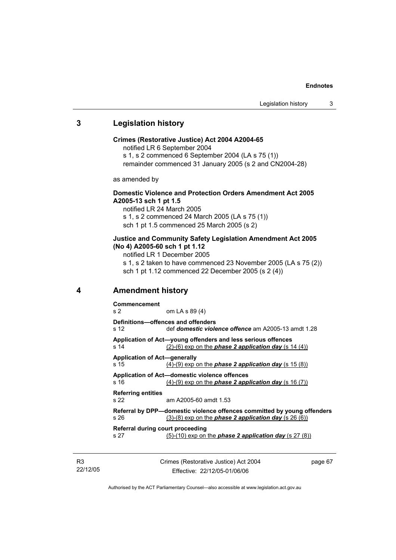#### **Endnotes**

### **3 Legislation history**

#### **Crimes (Restorative Justice) Act 2004 A2004-65**

notified LR 6 September 2004

s 1, s 2 commenced 6 September 2004 (LA s 75 (1))

remainder commenced 31 January 2005 (s 2 and CN2004-28)

as amended by

### **Domestic Violence and Protection Orders Amendment Act 2005 A2005-13 sch 1 pt 1.5**

notified LR 24 March 2005 s 1, s 2 commenced 24 March 2005 (LA s 75 (1)) sch 1 pt 1.5 commenced 25 March 2005 (s 2)

#### **Justice and Community Safety Legislation Amendment Act 2005 (No 4) A2005-60 sch 1 pt 1.12**

notified LR 1 December 2005

s 1, s 2 taken to have commenced 23 November 2005 (LA s 75 (2)) sch 1 pt 1.12 commenced 22 December 2005 (s 2 (4))

## **4 Amendment history**

| Commencement                                                                                                |                                                                                                                                            |  |  |
|-------------------------------------------------------------------------------------------------------------|--------------------------------------------------------------------------------------------------------------------------------------------|--|--|
| s <sub>2</sub>                                                                                              | om LA s 89 (4)                                                                                                                             |  |  |
| s 12                                                                                                        | Definitions-offences and offenders<br>def domestic violence offence am A2005-13 amdt 1.28                                                  |  |  |
| s 14                                                                                                        | Application of Act—young offenders and less serious offences<br>$(2)-(6)$ exp on the <b>phase 2 application day</b> (s 14 $(4)$ )          |  |  |
| Application of Act-qenerally<br>s 15                                                                        | $(4)-(9)$ exp on the <b>phase 2 application day</b> (s 15 (8))                                                                             |  |  |
| s 16                                                                                                        | Application of Act—domestic violence offences<br>$(4)-(9)$ exp on the <b>phase 2 application day</b> (s 16 (7))                            |  |  |
| <b>Referring entities</b><br>s 22                                                                           | am A2005-60 amdt 1.53                                                                                                                      |  |  |
| s 26                                                                                                        | Referral by DPP-domestic violence offences committed by young offenders<br>$(3)-(8)$ exp on the <b>phase 2 application day</b> $(s 26(6))$ |  |  |
| Referral during court proceeding<br>$(5)-(10)$ exp on the <b>phase 2 application day</b> (s 27 (8))<br>s 27 |                                                                                                                                            |  |  |
|                                                                                                             |                                                                                                                                            |  |  |

R3 22/12/05 Crimes (Restorative Justice) Act 2004 Effective: 22/12/05-01/06/06

page 67

Authorised by the ACT Parliamentary Counsel—also accessible at www.legislation.act.gov.au